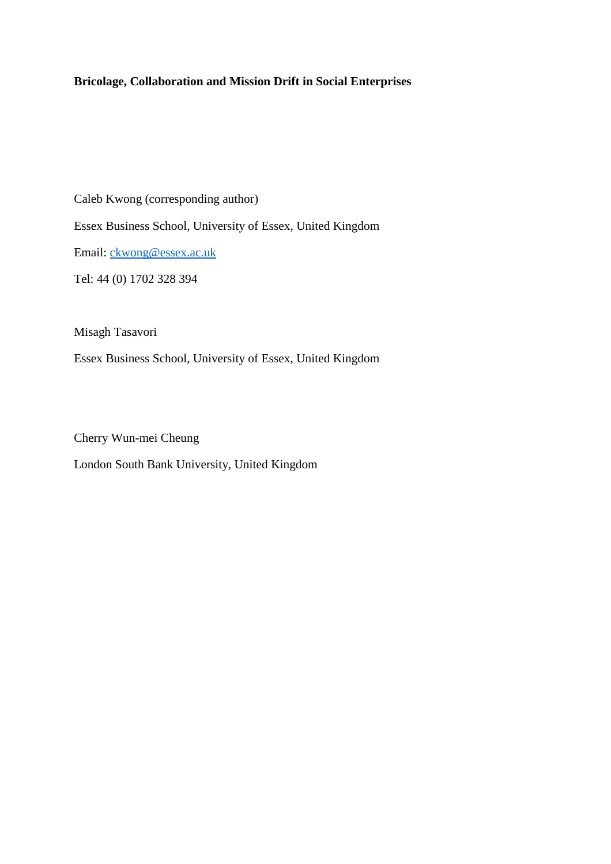# **Bricolage, Collaboration and Mission Drift in Social Enterprises**

Caleb Kwong (corresponding author) Essex Business School, University of Essex, United Kingdom Email: ckwong@essex.ac.uk Tel: 44 (0) 1702 328 394

Misagh Tasavori

Essex Business School, University of Essex, United Kingdom

Cherry Wun-mei Cheung

London South Bank University, United Kingdom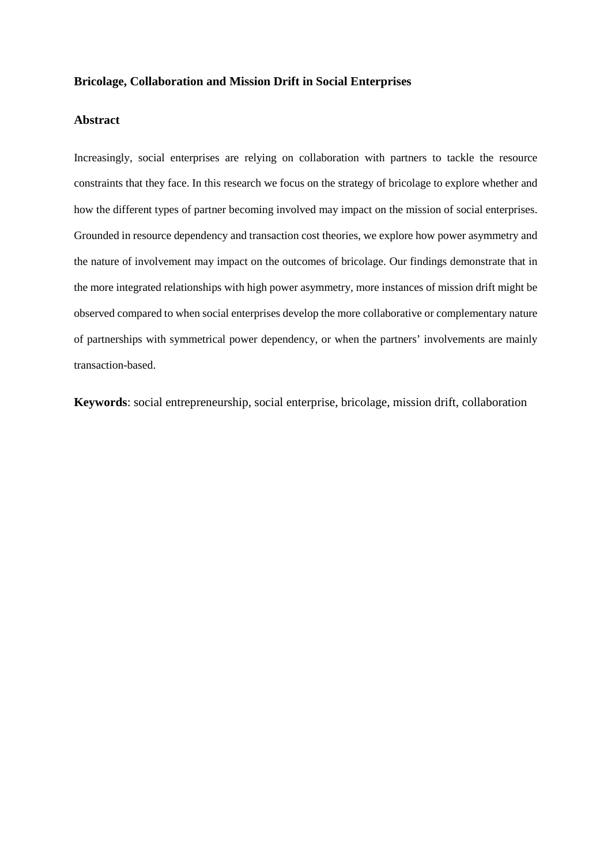### **Bricolage, Collaboration and Mission Drift in Social Enterprises**

## **Abstract**

Increasingly, social enterprises are relying on collaboration with partners to tackle the resource constraints that they face. In this research we focus on the strategy of bricolage to explore whether and how the different types of partner becoming involved may impact on the mission of social enterprises. Grounded in resource dependency and transaction cost theories, we explore how power asymmetry and the nature of involvement may impact on the outcomes of bricolage. Our findings demonstrate that in the more integrated relationships with high power asymmetry, more instances of mission drift might be observed compared to when social enterprises develop the more collaborative or complementary nature of partnerships with symmetrical power dependency, or when the partners' involvements are mainly transaction-based.

**Keywords**: social entrepreneurship, social enterprise, bricolage, mission drift, collaboration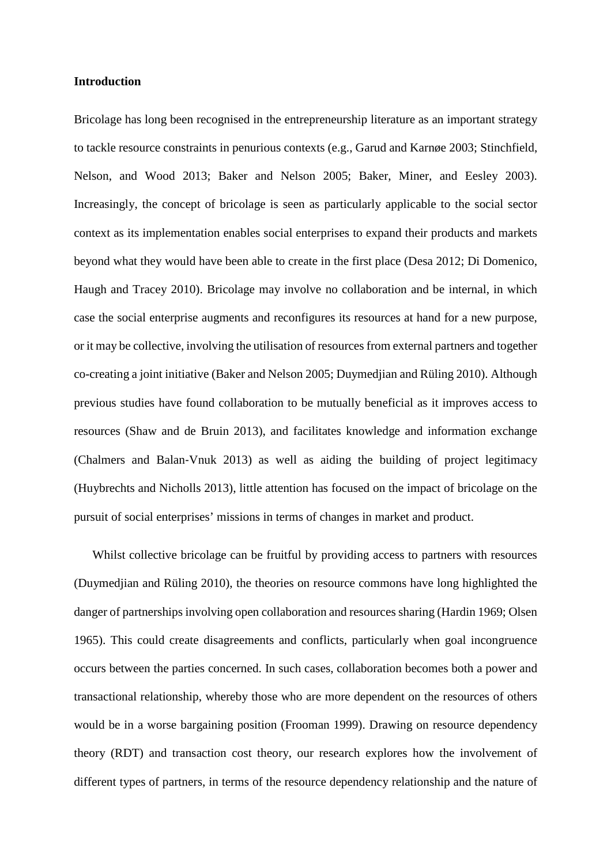### **Introduction**

Bricolage has long been recognised in the entrepreneurship literature as an important strategy to tackle resource constraints in penurious contexts (e.g., Garud and Karnøe 2003; Stinchfield, Nelson, and Wood 2013; Baker and Nelson 2005; Baker, Miner, and Eesley 2003). Increasingly, the concept of bricolage is seen as particularly applicable to the social sector context as its implementation enables social enterprises to expand their products and markets beyond what they would have been able to create in the first place (Desa 2012; Di Domenico, Haugh and Tracey 2010). Bricolage may involve no collaboration and be internal, in which case the social enterprise augments and reconfigures its resources at hand for a new purpose, or it may be collective, involving the utilisation of resources from external partners and together co-creating a joint initiative (Baker and Nelson 2005; Duymedjian and Rüling 2010). Although previous studies have found collaboration to be mutually beneficial as it improves access to resources (Shaw and de Bruin 2013), and facilitates knowledge and information exchange (Chalmers and Balan‐Vnuk 2013) as well as aiding the building of project legitimacy (Huybrechts and Nicholls 2013), little attention has focused on the impact of bricolage on the pursuit of social enterprises' missions in terms of changes in market and product.

Whilst collective bricolage can be fruitful by providing access to partners with resources (Duymedjian and Rüling 2010), the theories on resource commons have long highlighted the danger of partnerships involving open collaboration and resources sharing (Hardin 1969; Olsen 1965). This could create disagreements and conflicts, particularly when goal incongruence occurs between the parties concerned. In such cases, collaboration becomes both a power and transactional relationship, whereby those who are more dependent on the resources of others would be in a worse bargaining position (Frooman 1999). Drawing on resource dependency theory (RDT) and transaction cost theory, our research explores how the involvement of different types of partners, in terms of the resource dependency relationship and the nature of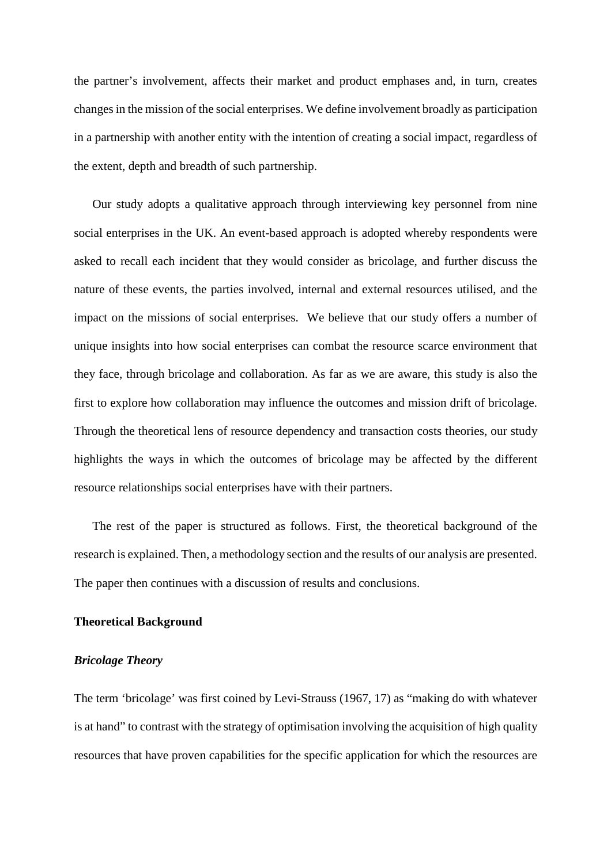the partner's involvement, affects their market and product emphases and, in turn, creates changes in the mission of the social enterprises. We define involvement broadly as participation in a partnership with another entity with the intention of creating a social impact, regardless of the extent, depth and breadth of such partnership.

Our study adopts a qualitative approach through interviewing key personnel from nine social enterprises in the UK. An event-based approach is adopted whereby respondents were asked to recall each incident that they would consider as bricolage, and further discuss the nature of these events, the parties involved, internal and external resources utilised, and the impact on the missions of social enterprises. We believe that our study offers a number of unique insights into how social enterprises can combat the resource scarce environment that they face, through bricolage and collaboration. As far as we are aware, this study is also the first to explore how collaboration may influence the outcomes and mission drift of bricolage. Through the theoretical lens of resource dependency and transaction costs theories, our study highlights the ways in which the outcomes of bricolage may be affected by the different resource relationships social enterprises have with their partners.

The rest of the paper is structured as follows. First, the theoretical background of the research is explained. Then, a methodology section and the results of our analysis are presented. The paper then continues with a discussion of results and conclusions.

## **Theoretical Background**

## *Bricolage Theory*

The term 'bricolage' was first coined by Levi-Strauss (1967, 17) as "making do with whatever is at hand" to contrast with the strategy of optimisation involving the acquisition of high quality resources that have proven capabilities for the specific application for which the resources are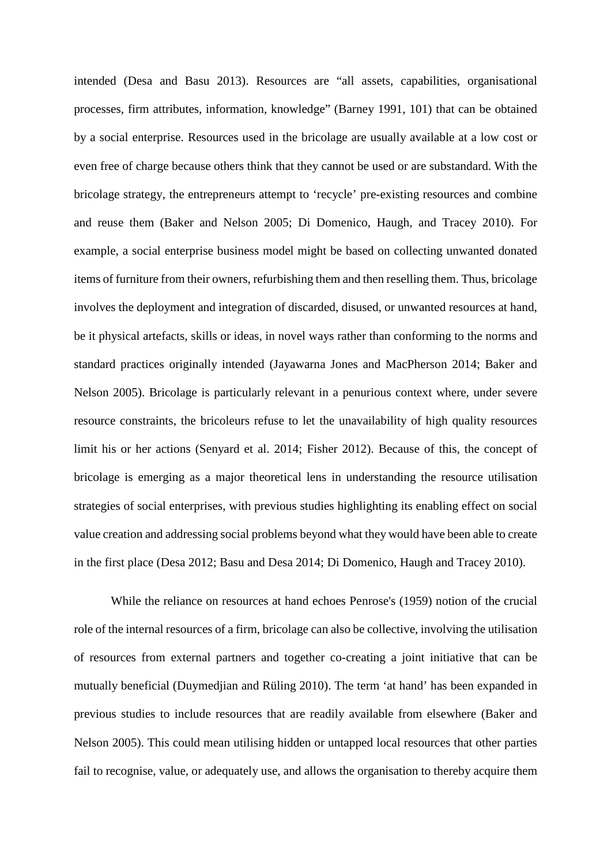intended (Desa and Basu 2013). Resources are "all assets, capabilities, organisational processes, firm attributes, information, knowledge" (Barney 1991, 101) that can be obtained by a social enterprise. Resources used in the bricolage are usually available at a low cost or even free of charge because others think that they cannot be used or are substandard. With the bricolage strategy, the entrepreneurs attempt to 'recycle' pre-existing resources and combine and reuse them (Baker and Nelson 2005; Di Domenico, Haugh, and Tracey 2010). For example, a social enterprise business model might be based on collecting unwanted donated items of furniture from their owners, refurbishing them and then reselling them. Thus, bricolage involves the deployment and integration of discarded, disused, or unwanted resources at hand, be it physical artefacts, skills or ideas, in novel ways rather than conforming to the norms and standard practices originally intended (Jayawarna Jones and MacPherson 2014; Baker and Nelson 2005). Bricolage is particularly relevant in a penurious context where, under severe resource constraints, the bricoleurs refuse to let the unavailability of high quality resources limit his or her actions (Senyard et al. 2014; Fisher 2012). Because of this, the concept of bricolage is emerging as a major theoretical lens in understanding the resource utilisation strategies of social enterprises, with previous studies highlighting its enabling effect on social value creation and addressing social problems beyond what they would have been able to create in the first place (Desa 2012; Basu and Desa 2014; Di Domenico, Haugh and Tracey 2010).

While the reliance on resources at hand echoes Penrose's (1959) notion of the crucial role of the internal resources of a firm, bricolage can also be collective, involving the utilisation of resources from external partners and together co-creating a joint initiative that can be mutually beneficial (Duymedjian and Rüling 2010). The term 'at hand' has been expanded in previous studies to include resources that are readily available from elsewhere (Baker and Nelson 2005). This could mean utilising hidden or untapped local resources that other parties fail to recognise, value, or adequately use, and allows the organisation to thereby acquire them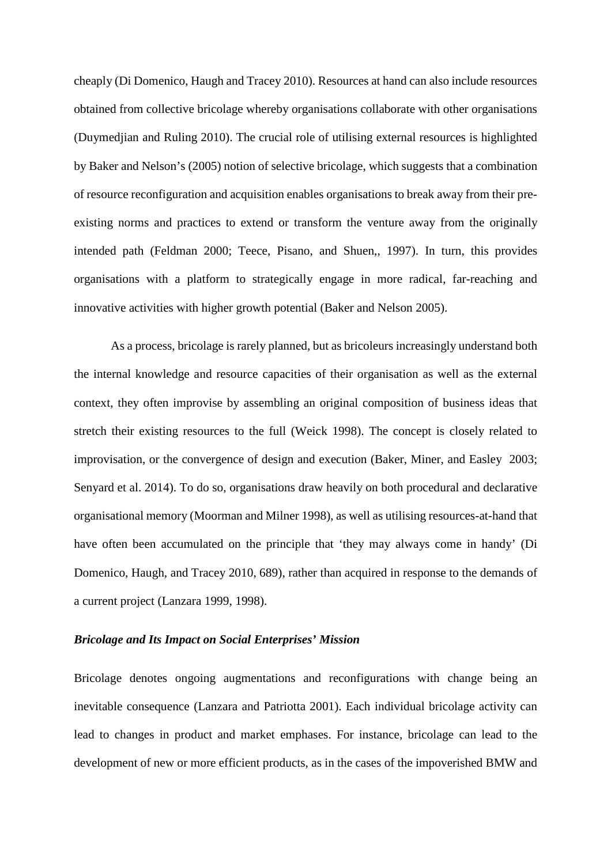cheaply (Di Domenico, Haugh and Tracey 2010). Resources at hand can also include resources obtained from collective bricolage whereby organisations collaborate with other organisations (Duymedjian and Ruling 2010). The crucial role of utilising external resources is highlighted by Baker and Nelson's (2005) notion of selective bricolage, which suggests that a combination of resource reconfiguration and acquisition enables organisations to break away from their preexisting norms and practices to extend or transform the venture away from the originally intended path (Feldman 2000; Teece, Pisano, and Shuen,, 1997). In turn, this provides organisations with a platform to strategically engage in more radical, far-reaching and innovative activities with higher growth potential (Baker and Nelson 2005).

As a process, bricolage is rarely planned, but as bricoleurs increasingly understand both the internal knowledge and resource capacities of their organisation as well as the external context, they often improvise by assembling an original composition of business ideas that stretch their existing resources to the full (Weick 1998). The concept is closely related to improvisation, or the convergence of design and execution (Baker, Miner, and Easley 2003; Senyard et al. 2014). To do so, organisations draw heavily on both procedural and declarative organisational memory (Moorman and Milner 1998), as well as utilising resources-at-hand that have often been accumulated on the principle that 'they may always come in handy' (Di Domenico, Haugh, and Tracey 2010, 689), rather than acquired in response to the demands of a current project (Lanzara 1999, 1998).

## *Bricolage and Its Impact on Social Enterprises' Mission*

Bricolage denotes ongoing augmentations and reconfigurations with change being an inevitable consequence (Lanzara and Patriotta 2001). Each individual bricolage activity can lead to changes in product and market emphases. For instance, bricolage can lead to the development of new or more efficient products, as in the cases of the impoverished BMW and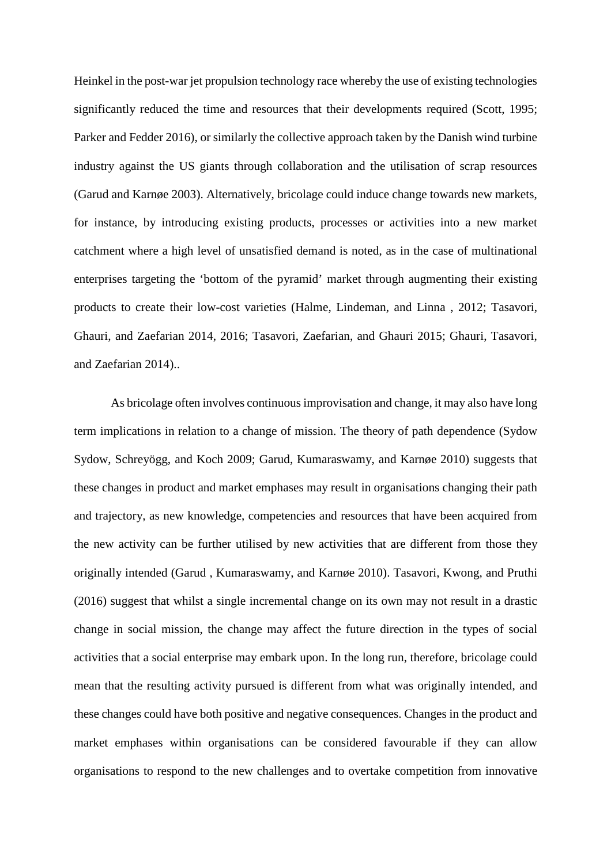Heinkel in the post-war jet propulsion technology race whereby the use of existing technologies significantly reduced the time and resources that their developments required (Scott, 1995; Parker and Fedder 2016), or similarly the collective approach taken by the Danish wind turbine industry against the US giants through collaboration and the utilisation of scrap resources (Garud and Karnøe 2003). Alternatively, bricolage could induce change towards new markets, for instance, by introducing existing products, processes or activities into a new market catchment where a high level of unsatisfied demand is noted, as in the case of multinational enterprises targeting the 'bottom of the pyramid' market through augmenting their existing products to create their low-cost varieties (Halme, Lindeman, and Linna , 2012; Tasavori, Ghauri, and Zaefarian 2014, 2016; Tasavori, Zaefarian, and Ghauri 2015; Ghauri, Tasavori, and Zaefarian 2014)..

As bricolage often involves continuous improvisation and change, it may also have long term implications in relation to a change of mission. The theory of path dependence (Sydow Sydow, Schreyögg, and Koch 2009; Garud, Kumaraswamy, and Karnøe 2010) suggests that these changes in product and market emphases may result in organisations changing their path and trajectory, as new knowledge, competencies and resources that have been acquired from the new activity can be further utilised by new activities that are different from those they originally intended (Garud , Kumaraswamy, and Karnøe 2010). Tasavori, Kwong, and Pruthi (2016) suggest that whilst a single incremental change on its own may not result in a drastic change in social mission, the change may affect the future direction in the types of social activities that a social enterprise may embark upon. In the long run, therefore, bricolage could mean that the resulting activity pursued is different from what was originally intended, and these changes could have both positive and negative consequences. Changes in the product and market emphases within organisations can be considered favourable if they can allow organisations to respond to the new challenges and to overtake competition from innovative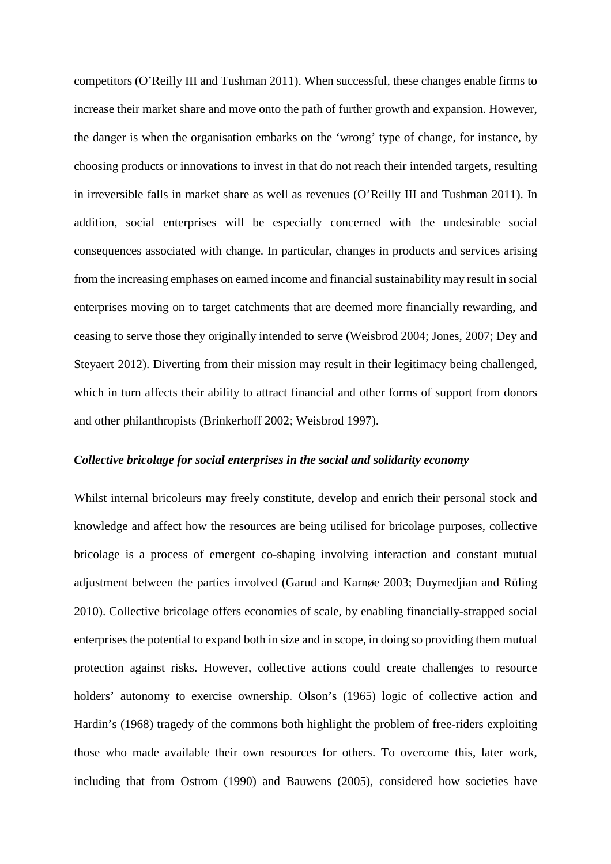competitors (O'Reilly III and Tushman 2011). When successful, these changes enable firms to increase their market share and move onto the path of further growth and expansion. However, the danger is when the organisation embarks on the 'wrong' type of change, for instance, by choosing products or innovations to invest in that do not reach their intended targets, resulting in irreversible falls in market share as well as revenues (O'Reilly III and Tushman 2011). In addition, social enterprises will be especially concerned with the undesirable social consequences associated with change. In particular, changes in products and services arising from the increasing emphases on earned income and financial sustainability may result in social enterprises moving on to target catchments that are deemed more financially rewarding, and ceasing to serve those they originally intended to serve (Weisbrod 2004; Jones, 2007; Dey and Steyaert 2012). Diverting from their mission may result in their legitimacy being challenged, which in turn affects their ability to attract financial and other forms of support from donors and other philanthropists (Brinkerhoff 2002; Weisbrod 1997).

### *Collective bricolage for social enterprises in the social and solidarity economy*

Whilst internal bricoleurs may freely constitute, develop and enrich their personal stock and knowledge and affect how the resources are being utilised for bricolage purposes, collective bricolage is a process of emergent co-shaping involving interaction and constant mutual adjustment between the parties involved (Garud and Karnøe 2003; Duymedjian and Rüling 2010). Collective bricolage offers economies of scale, by enabling financially-strapped social enterprises the potential to expand both in size and in scope, in doing so providing them mutual protection against risks. However, collective actions could create challenges to resource holders' autonomy to exercise ownership. Olson's (1965) logic of collective action and Hardin's (1968) tragedy of the commons both highlight the problem of free-riders exploiting those who made available their own resources for others. To overcome this, later work, including that from Ostrom (1990) and Bauwens (2005), considered how societies have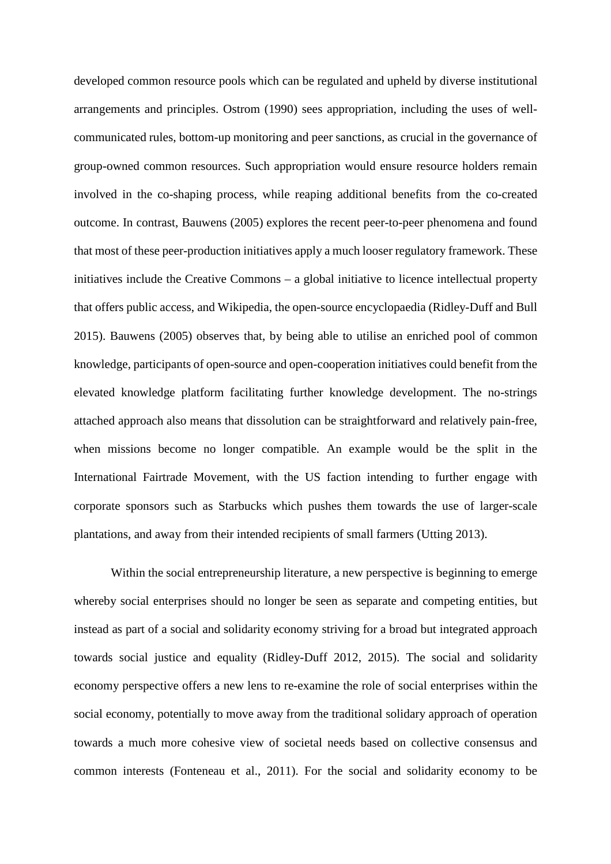developed common resource pools which can be regulated and upheld by diverse institutional arrangements and principles. Ostrom (1990) sees appropriation, including the uses of wellcommunicated rules, bottom-up monitoring and peer sanctions, as crucial in the governance of group-owned common resources. Such appropriation would ensure resource holders remain involved in the co-shaping process, while reaping additional benefits from the co-created outcome. In contrast, Bauwens (2005) explores the recent peer-to-peer phenomena and found that most of these peer-production initiatives apply a much looser regulatory framework. These initiatives include the Creative Commons – a global initiative to licence intellectual property that offers public access, and Wikipedia, the open-source encyclopaedia (Ridley-Duff and Bull 2015). Bauwens (2005) observes that, by being able to utilise an enriched pool of common knowledge, participants of open-source and open-cooperation initiatives could benefit from the elevated knowledge platform facilitating further knowledge development. The no-strings attached approach also means that dissolution can be straightforward and relatively pain-free, when missions become no longer compatible. An example would be the split in the International Fairtrade Movement, with the US faction intending to further engage with corporate sponsors such as Starbucks which pushes them towards the use of larger-scale plantations, and away from their intended recipients of small farmers (Utting 2013).

Within the social entrepreneurship literature, a new perspective is beginning to emerge whereby social enterprises should no longer be seen as separate and competing entities, but instead as part of a social and solidarity economy striving for a broad but integrated approach towards social justice and equality (Ridley-Duff 2012, 2015). The social and solidarity economy perspective offers a new lens to re-examine the role of social enterprises within the social economy, potentially to move away from the traditional solidary approach of operation towards a much more cohesive view of societal needs based on collective consensus and common interests (Fonteneau et al., 2011). For the social and solidarity economy to be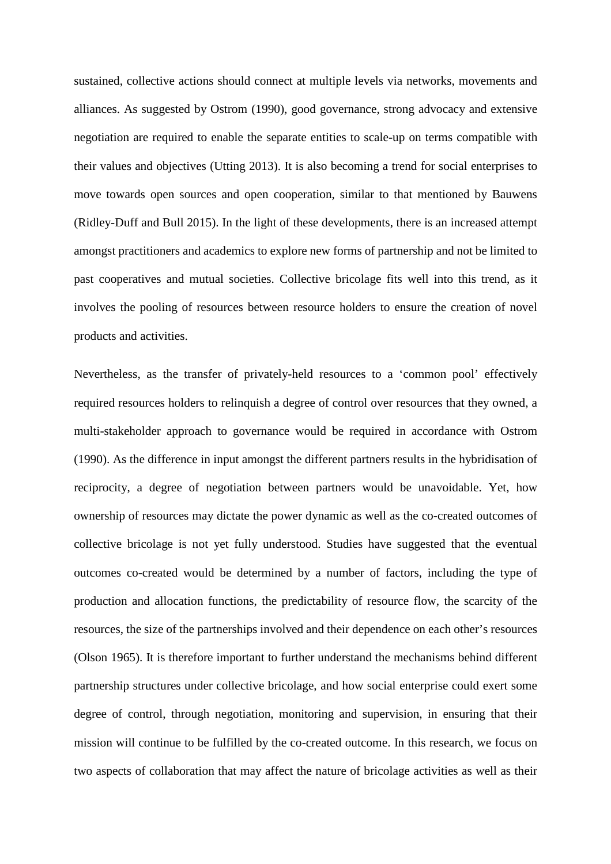sustained, collective actions should connect at multiple levels via networks, movements and alliances. As suggested by Ostrom (1990), good governance, strong advocacy and extensive negotiation are required to enable the separate entities to scale-up on terms compatible with their values and objectives (Utting 2013). It is also becoming a trend for social enterprises to move towards open sources and open cooperation, similar to that mentioned by Bauwens (Ridley-Duff and Bull 2015). In the light of these developments, there is an increased attempt amongst practitioners and academics to explore new forms of partnership and not be limited to past cooperatives and mutual societies. Collective bricolage fits well into this trend, as it involves the pooling of resources between resource holders to ensure the creation of novel products and activities.

Nevertheless, as the transfer of privately-held resources to a 'common pool' effectively required resources holders to relinquish a degree of control over resources that they owned, a multi-stakeholder approach to governance would be required in accordance with Ostrom (1990). As the difference in input amongst the different partners results in the hybridisation of reciprocity, a degree of negotiation between partners would be unavoidable. Yet, how ownership of resources may dictate the power dynamic as well as the co-created outcomes of collective bricolage is not yet fully understood. Studies have suggested that the eventual outcomes co-created would be determined by a number of factors, including the type of production and allocation functions, the predictability of resource flow, the scarcity of the resources, the size of the partnerships involved and their dependence on each other's resources (Olson 1965). It is therefore important to further understand the mechanisms behind different partnership structures under collective bricolage, and how social enterprise could exert some degree of control, through negotiation, monitoring and supervision, in ensuring that their mission will continue to be fulfilled by the co-created outcome. In this research, we focus on two aspects of collaboration that may affect the nature of bricolage activities as well as their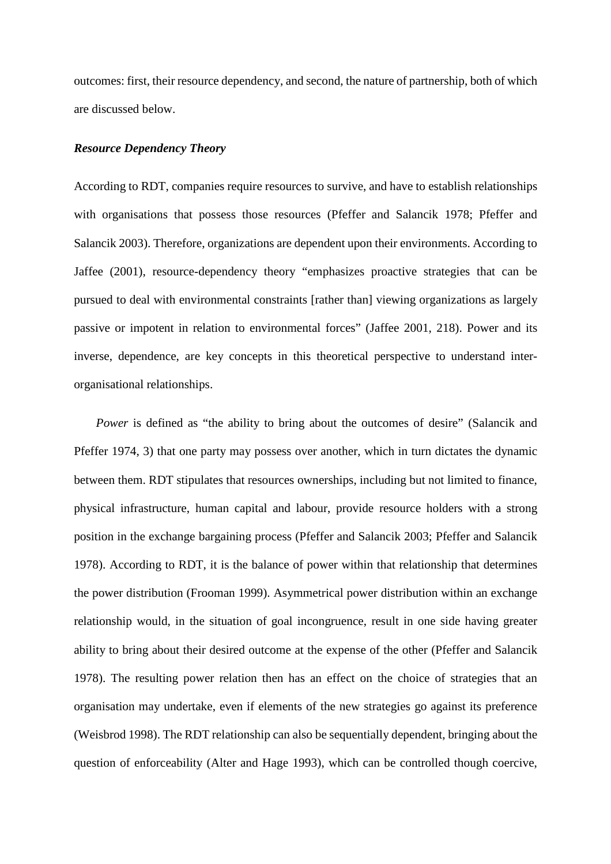outcomes: first, their resource dependency, and second, the nature of partnership, both of which are discussed below.

## *Resource Dependency Theory*

According to RDT, companies require resources to survive, and have to establish relationships with organisations that possess those resources (Pfeffer and Salancik 1978; Pfeffer and Salancik 2003). Therefore, organizations are dependent upon their environments. According to Jaffee (2001), resource-dependency theory "emphasizes proactive strategies that can be pursued to deal with environmental constraints [rather than] viewing organizations as largely passive or impotent in relation to environmental forces" (Jaffee 2001, 218). Power and its inverse, dependence, are key concepts in this theoretical perspective to understand interorganisational relationships.

*Power* is defined as "the ability to bring about the outcomes of desire" (Salancik and Pfeffer 1974, 3) that one party may possess over another, which in turn dictates the dynamic between them. RDT stipulates that resources ownerships, including but not limited to finance, physical infrastructure, human capital and labour, provide resource holders with a strong position in the exchange bargaining process (Pfeffer and Salancik 2003; Pfeffer and Salancik 1978). According to RDT, it is the balance of power within that relationship that determines the power distribution (Frooman 1999). Asymmetrical power distribution within an exchange relationship would, in the situation of goal incongruence, result in one side having greater ability to bring about their desired outcome at the expense of the other (Pfeffer and Salancik 1978). The resulting power relation then has an effect on the choice of strategies that an organisation may undertake, even if elements of the new strategies go against its preference (Weisbrod 1998). The RDT relationship can also be sequentially dependent, bringing about the question of enforceability (Alter and Hage 1993), which can be controlled though coercive,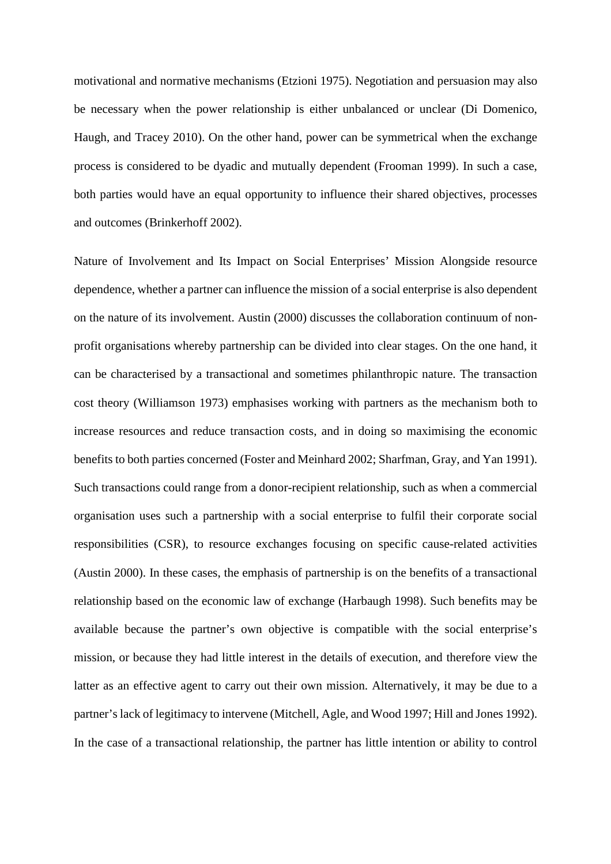motivational and normative mechanisms (Etzioni 1975). Negotiation and persuasion may also be necessary when the power relationship is either unbalanced or unclear (Di Domenico, Haugh, and Tracey 2010). On the other hand, power can be symmetrical when the exchange process is considered to be dyadic and mutually dependent (Frooman 1999). In such a case, both parties would have an equal opportunity to influence their shared objectives, processes and outcomes (Brinkerhoff 2002).

Nature of Involvement and Its Impact on Social Enterprises' Mission Alongside resource dependence, whether a partner can influence the mission of a social enterprise is also dependent on the nature of its involvement. Austin (2000) discusses the collaboration continuum of nonprofit organisations whereby partnership can be divided into clear stages. On the one hand, it can be characterised by a transactional and sometimes philanthropic nature. The transaction cost theory (Williamson 1973) emphasises working with partners as the mechanism both to increase resources and reduce transaction costs, and in doing so maximising the economic benefits to both parties concerned (Foster and Meinhard 2002; Sharfman, Gray, and Yan 1991). Such transactions could range from a donor-recipient relationship, such as when a commercial organisation uses such a partnership with a social enterprise to fulfil their corporate social responsibilities (CSR), to resource exchanges focusing on specific cause-related activities (Austin 2000). In these cases, the emphasis of partnership is on the benefits of a transactional relationship based on the economic law of exchange (Harbaugh 1998). Such benefits may be available because the partner's own objective is compatible with the social enterprise's mission, or because they had little interest in the details of execution, and therefore view the latter as an effective agent to carry out their own mission. Alternatively, it may be due to a partner's lack of legitimacy to intervene (Mitchell, Agle, and Wood 1997; Hill and Jones 1992). In the case of a transactional relationship, the partner has little intention or ability to control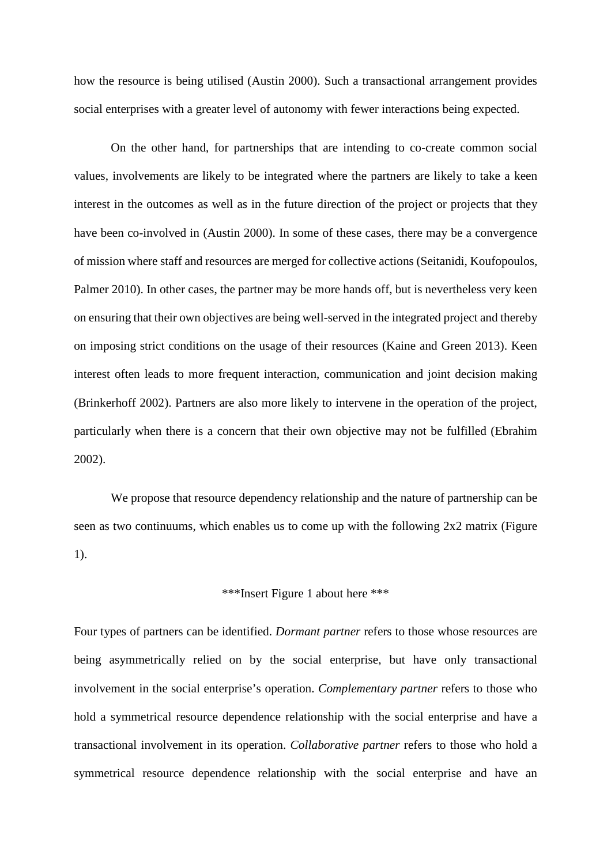how the resource is being utilised (Austin 2000). Such a transactional arrangement provides social enterprises with a greater level of autonomy with fewer interactions being expected.

On the other hand, for partnerships that are intending to co-create common social values, involvements are likely to be integrated where the partners are likely to take a keen interest in the outcomes as well as in the future direction of the project or projects that they have been co-involved in (Austin 2000). In some of these cases, there may be a convergence of mission where staff and resources are merged for collective actions (Seitanidi, Koufopoulos, Palmer 2010). In other cases, the partner may be more hands off, but is nevertheless very keen on ensuring that their own objectives are being well-served in the integrated project and thereby on imposing strict conditions on the usage of their resources (Kaine and Green 2013). Keen interest often leads to more frequent interaction, communication and joint decision making (Brinkerhoff 2002). Partners are also more likely to intervene in the operation of the project, particularly when there is a concern that their own objective may not be fulfilled (Ebrahim 2002).

We propose that resource dependency relationship and the nature of partnership can be seen as two continuums, which enables us to come up with the following 2x2 matrix (Figure 1).

## \*\*\*Insert Figure 1 about here \*\*\*

Four types of partners can be identified. *Dormant partner* refers to those whose resources are being asymmetrically relied on by the social enterprise, but have only transactional involvement in the social enterprise's operation. *Complementary partner* refers to those who hold a symmetrical resource dependence relationship with the social enterprise and have a transactional involvement in its operation. *Collaborative partner* refers to those who hold a symmetrical resource dependence relationship with the social enterprise and have an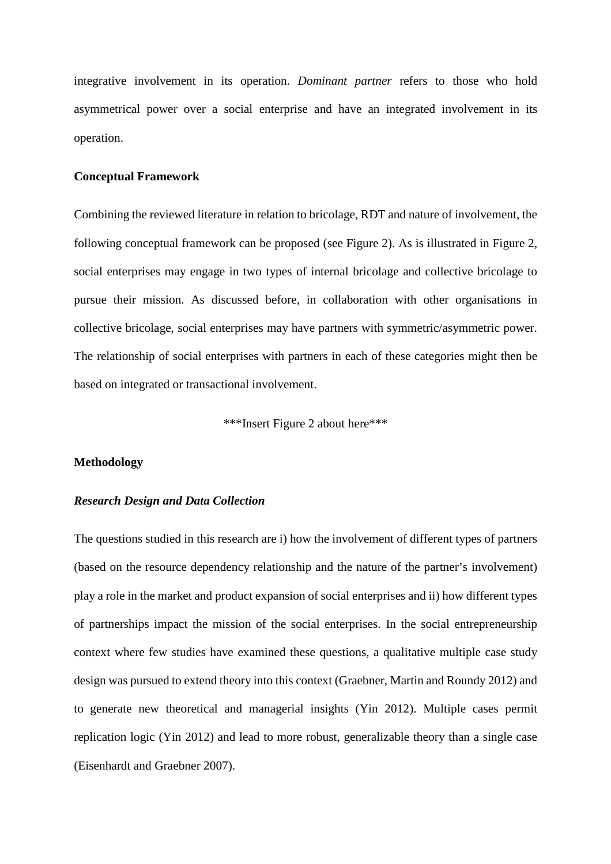integrative involvement in its operation. *Dominant partner* refers to those who hold asymmetrical power over a social enterprise and have an integrated involvement in its operation.

## **Conceptual Framework**

Combining the reviewed literature in relation to bricolage, RDT and nature of involvement, the following conceptual framework can be proposed (see Figure 2). As is illustrated in Figure 2, social enterprises may engage in two types of internal bricolage and collective bricolage to pursue their mission. As discussed before, in collaboration with other organisations in collective bricolage, social enterprises may have partners with symmetric/asymmetric power. The relationship of social enterprises with partners in each of these categories might then be based on integrated or transactional involvement.

\*\*\*Insert Figure 2 about here\*\*\*

### **Methodology**

## *Research Design and Data Collection*

The questions studied in this research are i) how the involvement of different types of partners (based on the resource dependency relationship and the nature of the partner's involvement) play a role in the market and product expansion of social enterprises and ii) how different types of partnerships impact the mission of the social enterprises. In the social entrepreneurship context where few studies have examined these questions, a qualitative multiple case study design was pursued to extend theory into this context (Graebner, Martin and Roundy 2012) and to generate new theoretical and managerial insights (Yin 2012). Multiple cases permit replication logic (Yin 2012) and lead to more robust, generalizable theory than a single case (Eisenhardt and Graebner 2007).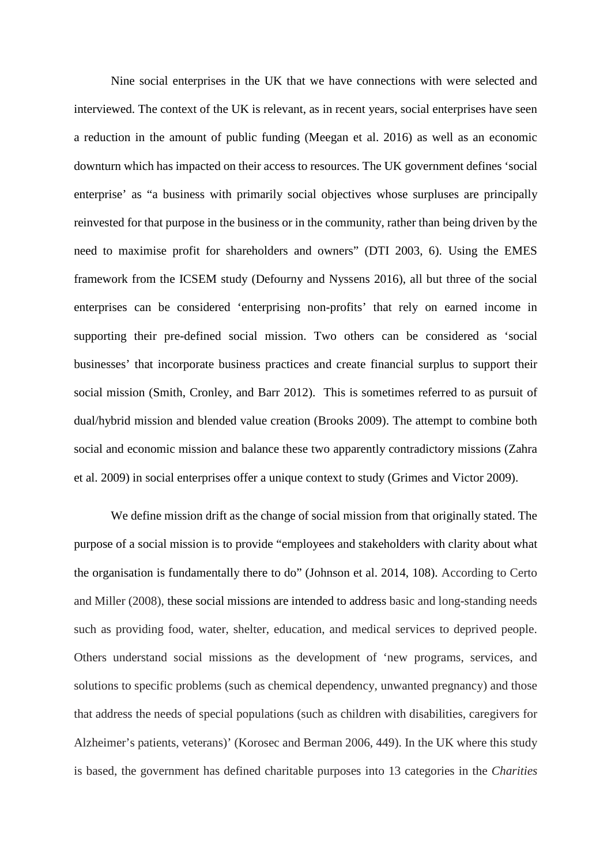Nine social enterprises in the UK that we have connections with were selected and interviewed. The context of the UK is relevant, as in recent years, social enterprises have seen a reduction in the amount of public funding (Meegan et al. 2016) as well as an economic downturn which has impacted on their access to resources. The UK government defines 'social enterprise' as "a business with primarily social objectives whose surpluses are principally reinvested for that purpose in the business or in the community, rather than being driven by the need to maximise profit for shareholders and owners" (DTI 2003, 6). Using the EMES framework from the ICSEM study (Defourny and Nyssens 2016), all but three of the social enterprises can be considered 'enterprising non-profits' that rely on earned income in supporting their pre-defined social mission. Two others can be considered as 'social businesses' that incorporate business practices and create financial surplus to support their social mission (Smith, Cronley, and Barr 2012). This is sometimes referred to as pursuit of dual/hybrid mission and blended value creation (Brooks 2009). The attempt to combine both social and economic mission and balance these two apparently contradictory missions (Zahra et al. 2009) in social enterprises offer a unique context to study (Grimes and Victor 2009).

We define mission drift as the change of social mission from that originally stated. The purpose of a social mission is to provide "employees and stakeholders with clarity about what the organisation is fundamentally there to do" (Johnson et al. 2014, 108). According to Certo and Miller (2008), these social missions are intended to address basic and long-standing needs such as providing food, water, shelter, education, and medical services to deprived people. Others understand social missions as the development of 'new programs, services, and solutions to specific problems (such as chemical dependency, unwanted pregnancy) and those that address the needs of special populations (such as children with disabilities, caregivers for Alzheimer's patients, veterans)' (Korosec and Berman 2006, 449). In the UK where this study is based, the government has defined charitable purposes into 13 categories in the *Charities*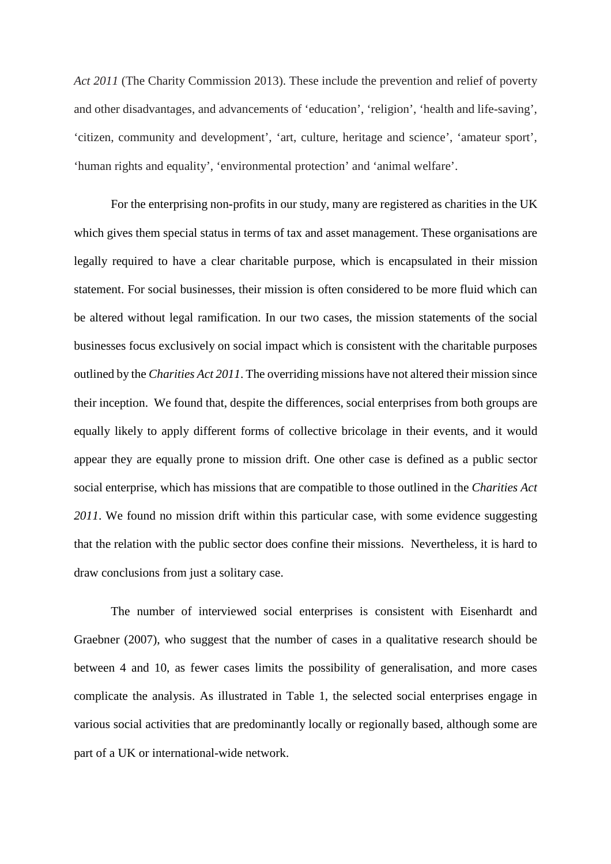*Act 2011* (The Charity Commission 2013). These include the prevention and relief of poverty and other disadvantages, and advancements of 'education', 'religion', 'health and life-saving', 'citizen, community and development', 'art, culture, heritage and science', 'amateur sport', 'human rights and equality', 'environmental protection' and 'animal welfare'.

For the enterprising non-profits in our study, many are registered as charities in the UK which gives them special status in terms of tax and asset management. These organisations are legally required to have a clear charitable purpose, which is encapsulated in their mission statement. For social businesses, their mission is often considered to be more fluid which can be altered without legal ramification. In our two cases, the mission statements of the social businesses focus exclusively on social impact which is consistent with the charitable purposes outlined by the *Charities Act 2011*. The overriding missions have not altered their mission since their inception. We found that, despite the differences, social enterprises from both groups are equally likely to apply different forms of collective bricolage in their events, and it would appear they are equally prone to mission drift. One other case is defined as a public sector social enterprise, which has missions that are compatible to those outlined in the *Charities Act 2011*. We found no mission drift within this particular case, with some evidence suggesting that the relation with the public sector does confine their missions. Nevertheless, it is hard to draw conclusions from just a solitary case.

The number of interviewed social enterprises is consistent with Eisenhardt and Graebner (2007), who suggest that the number of cases in a qualitative research should be between 4 and 10, as fewer cases limits the possibility of generalisation, and more cases complicate the analysis. As illustrated in Table 1, the selected social enterprises engage in various social activities that are predominantly locally or regionally based, although some are part of a UK or international-wide network.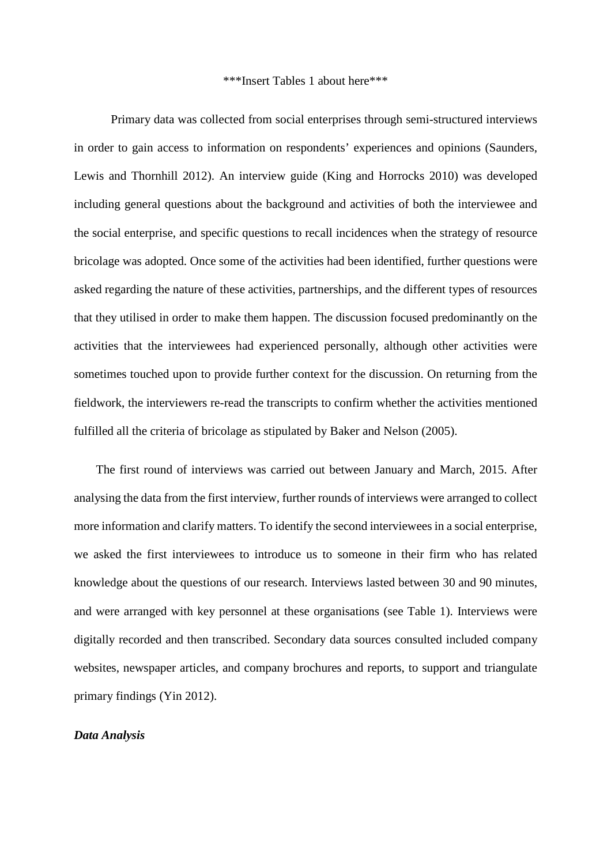#### \*\*\*Insert Tables 1 about here\*\*\*

Primary data was collected from social enterprises through semi-structured interviews in order to gain access to information on respondents' experiences and opinions (Saunders, Lewis and Thornhill 2012). An interview guide (King and Horrocks 2010) was developed including general questions about the background and activities of both the interviewee and the social enterprise, and specific questions to recall incidences when the strategy of resource bricolage was adopted. Once some of the activities had been identified, further questions were asked regarding the nature of these activities, partnerships, and the different types of resources that they utilised in order to make them happen. The discussion focused predominantly on the activities that the interviewees had experienced personally, although other activities were sometimes touched upon to provide further context for the discussion. On returning from the fieldwork, the interviewers re-read the transcripts to confirm whether the activities mentioned fulfilled all the criteria of bricolage as stipulated by Baker and Nelson (2005).

The first round of interviews was carried out between January and March, 2015. After analysing the data from the first interview, further rounds of interviews were arranged to collect more information and clarify matters. To identify the second interviewees in a social enterprise, we asked the first interviewees to introduce us to someone in their firm who has related knowledge about the questions of our research. Interviews lasted between 30 and 90 minutes, and were arranged with key personnel at these organisations (see Table 1). Interviews were digitally recorded and then transcribed. Secondary data sources consulted included company websites, newspaper articles, and company brochures and reports, to support and triangulate primary findings (Yin 2012).

### *Data Analysis*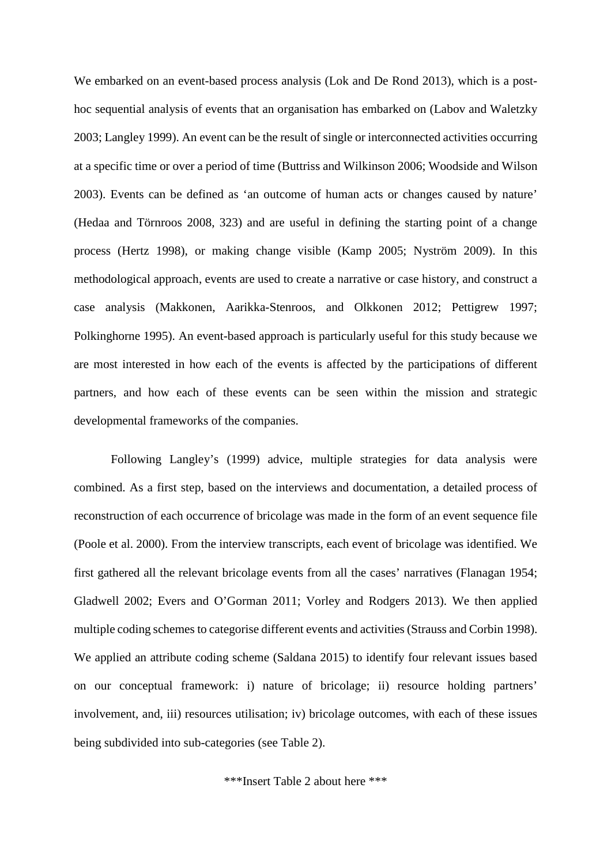We embarked on an event-based process analysis (Lok and De Rond 2013), which is a posthoc sequential analysis of events that an organisation has embarked on (Labov and Waletzky 2003; Langley 1999). An event can be the result of single or interconnected activities occurring at a specific time or over a period of time (Buttriss and Wilkinson 2006; Woodside and Wilson 2003). Events can be defined as 'an outcome of human acts or changes caused by nature' (Hedaa and Törnroos 2008, 323) and are useful in defining the starting point of a change process (Hertz 1998), or making change visible (Kamp 2005; Nyström 2009). In this methodological approach, events are used to create a narrative or case history, and construct a case analysis (Makkonen, Aarikka-Stenroos, and Olkkonen 2012; Pettigrew 1997; Polkinghorne 1995). An event-based approach is particularly useful for this study because we are most interested in how each of the events is affected by the participations of different partners, and how each of these events can be seen within the mission and strategic developmental frameworks of the companies.

Following Langley's (1999) advice, multiple strategies for data analysis were combined. As a first step, based on the interviews and documentation, a detailed process of reconstruction of each occurrence of bricolage was made in the form of an event sequence file (Poole et al. 2000). From the interview transcripts, each event of bricolage was identified. We first gathered all the relevant bricolage events from all the cases' narratives (Flanagan 1954; Gladwell 2002; Evers and O'Gorman 2011; Vorley and Rodgers 2013). We then applied multiple coding schemes to categorise different events and activities (Strauss and Corbin 1998). We applied an attribute coding scheme (Saldana 2015) to identify four relevant issues based on our conceptual framework: i) nature of bricolage; ii) resource holding partners' involvement, and, iii) resources utilisation; iv) bricolage outcomes, with each of these issues being subdivided into sub-categories (see Table 2).

\*\*\*Insert Table 2 about here \*\*\*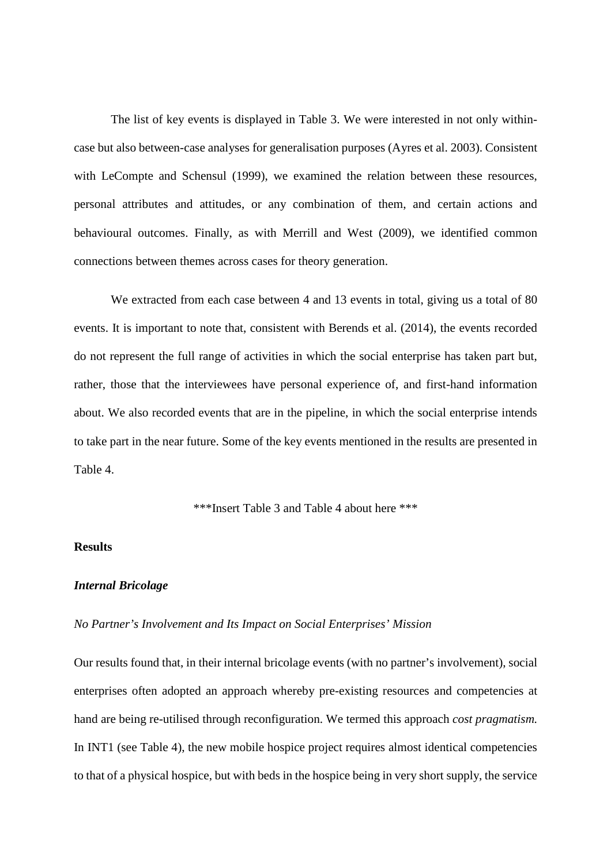The list of key events is displayed in Table 3. We were interested in not only withincase but also between-case analyses for generalisation purposes (Ayres et al. 2003). Consistent with LeCompte and Schensul (1999), we examined the relation between these resources, personal attributes and attitudes, or any combination of them, and certain actions and behavioural outcomes. Finally, as with Merrill and West (2009), we identified common connections between themes across cases for theory generation.

We extracted from each case between 4 and 13 events in total, giving us a total of 80 events. It is important to note that, consistent with Berends et al. (2014), the events recorded do not represent the full range of activities in which the social enterprise has taken part but, rather, those that the interviewees have personal experience of, and first-hand information about. We also recorded events that are in the pipeline, in which the social enterprise intends to take part in the near future. Some of the key events mentioned in the results are presented in Table 4.

\*\*\*Insert Table 3 and Table 4 about here \*\*\*

## **Results**

## *Internal Bricolage*

## *No Partner's Involvement and Its Impact on Social Enterprises' Mission*

Our results found that, in their internal bricolage events (with no partner's involvement), social enterprises often adopted an approach whereby pre-existing resources and competencies at hand are being re-utilised through reconfiguration. We termed this approach *cost pragmatism.* In INT1 (see Table 4), the new mobile hospice project requires almost identical competencies to that of a physical hospice, but with beds in the hospice being in very short supply, the service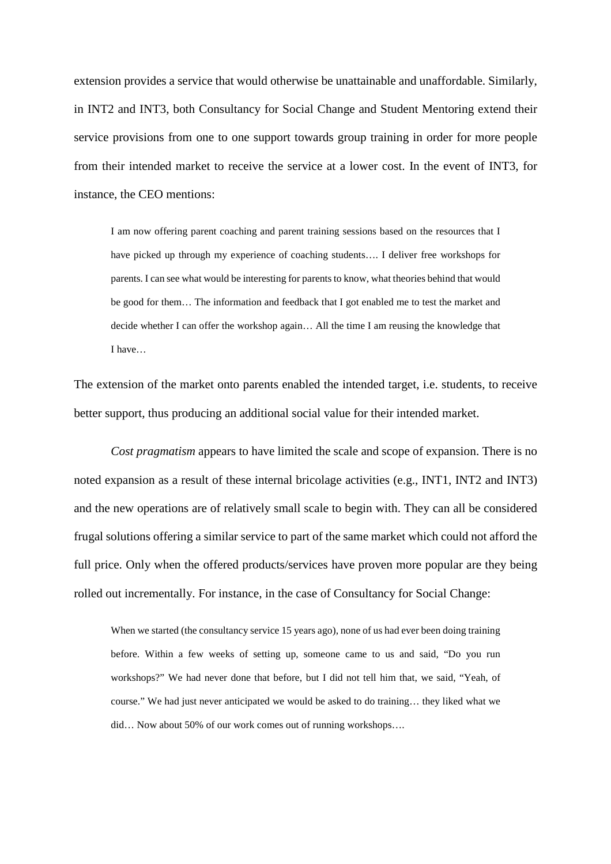extension provides a service that would otherwise be unattainable and unaffordable. Similarly, in INT2 and INT3, both Consultancy for Social Change and Student Mentoring extend their service provisions from one to one support towards group training in order for more people from their intended market to receive the service at a lower cost. In the event of INT3, for instance, the CEO mentions:

I am now offering parent coaching and parent training sessions based on the resources that I have picked up through my experience of coaching students…. I deliver free workshops for parents. I can see what would be interesting for parents to know, what theories behind that would be good for them… The information and feedback that I got enabled me to test the market and decide whether I can offer the workshop again… All the time I am reusing the knowledge that I have…

The extension of the market onto parents enabled the intended target, i.e. students, to receive better support, thus producing an additional social value for their intended market.

*Cost pragmatism* appears to have limited the scale and scope of expansion. There is no noted expansion as a result of these internal bricolage activities (e.g., INT1, INT2 and INT3) and the new operations are of relatively small scale to begin with. They can all be considered frugal solutions offering a similar service to part of the same market which could not afford the full price. Only when the offered products/services have proven more popular are they being rolled out incrementally. For instance, in the case of Consultancy for Social Change:

When we started (the consultancy service 15 years ago), none of us had ever been doing training before. Within a few weeks of setting up, someone came to us and said, "Do you run workshops?" We had never done that before, but I did not tell him that, we said, "Yeah, of course." We had just never anticipated we would be asked to do training… they liked what we did... Now about 50% of our work comes out of running workshops....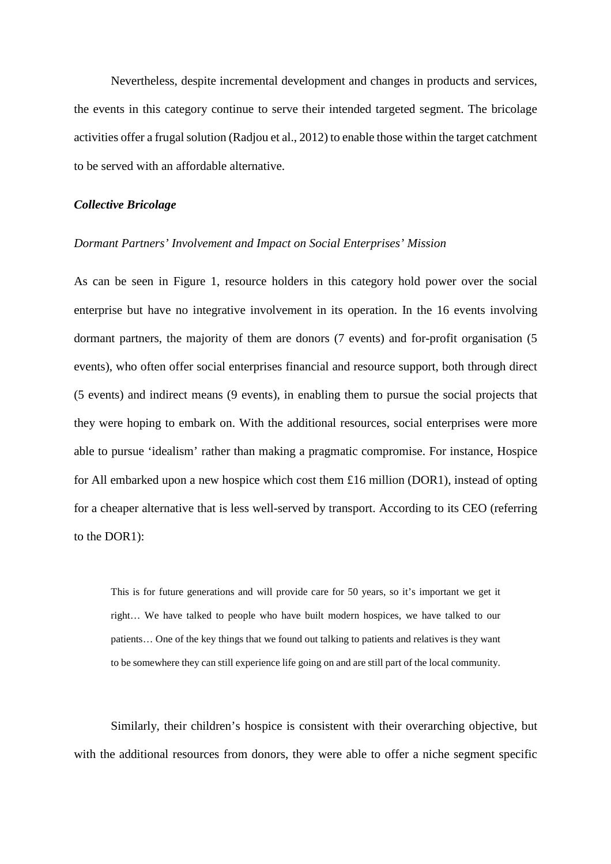Nevertheless, despite incremental development and changes in products and services, the events in this category continue to serve their intended targeted segment. The bricolage activities offer a frugal solution (Radjou et al., 2012) to enable those within the target catchment to be served with an affordable alternative.

#### *Collective Bricolage*

### *Dormant Partners' Involvement and Impact on Social Enterprises' Mission*

As can be seen in Figure 1, resource holders in this category hold power over the social enterprise but have no integrative involvement in its operation. In the 16 events involving dormant partners, the majority of them are donors (7 events) and for-profit organisation (5 events), who often offer social enterprises financial and resource support, both through direct (5 events) and indirect means (9 events), in enabling them to pursue the social projects that they were hoping to embark on. With the additional resources, social enterprises were more able to pursue 'idealism' rather than making a pragmatic compromise. For instance, Hospice for All embarked upon a new hospice which cost them £16 million (DOR1), instead of opting for a cheaper alternative that is less well-served by transport. According to its CEO (referring to the DOR1):

This is for future generations and will provide care for 50 years, so it's important we get it right… We have talked to people who have built modern hospices, we have talked to our patients… One of the key things that we found out talking to patients and relatives is they want to be somewhere they can still experience life going on and are still part of the local community.

Similarly, their children's hospice is consistent with their overarching objective, but with the additional resources from donors, they were able to offer a niche segment specific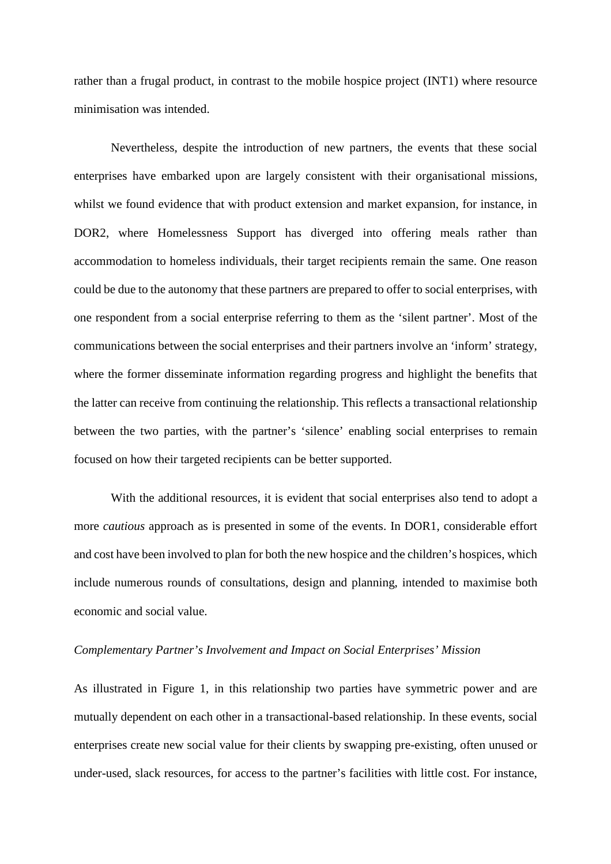rather than a frugal product, in contrast to the mobile hospice project (INT1) where resource minimisation was intended.

Nevertheless, despite the introduction of new partners, the events that these social enterprises have embarked upon are largely consistent with their organisational missions, whilst we found evidence that with product extension and market expansion, for instance, in DOR2, where Homelessness Support has diverged into offering meals rather than accommodation to homeless individuals, their target recipients remain the same. One reason could be due to the autonomy that these partners are prepared to offer to social enterprises, with one respondent from a social enterprise referring to them as the 'silent partner'. Most of the communications between the social enterprises and their partners involve an 'inform' strategy, where the former disseminate information regarding progress and highlight the benefits that the latter can receive from continuing the relationship. This reflects a transactional relationship between the two parties, with the partner's 'silence' enabling social enterprises to remain focused on how their targeted recipients can be better supported.

With the additional resources, it is evident that social enterprises also tend to adopt a more *cautious* approach as is presented in some of the events. In DOR1, considerable effort and cost have been involved to plan for both the new hospice and the children's hospices, which include numerous rounds of consultations, design and planning, intended to maximise both economic and social value.

### *Complementary Partner's Involvement and Impact on Social Enterprises' Mission*

As illustrated in Figure 1, in this relationship two parties have symmetric power and are mutually dependent on each other in a transactional-based relationship. In these events, social enterprises create new social value for their clients by swapping pre-existing, often unused or under-used, slack resources, for access to the partner's facilities with little cost. For instance,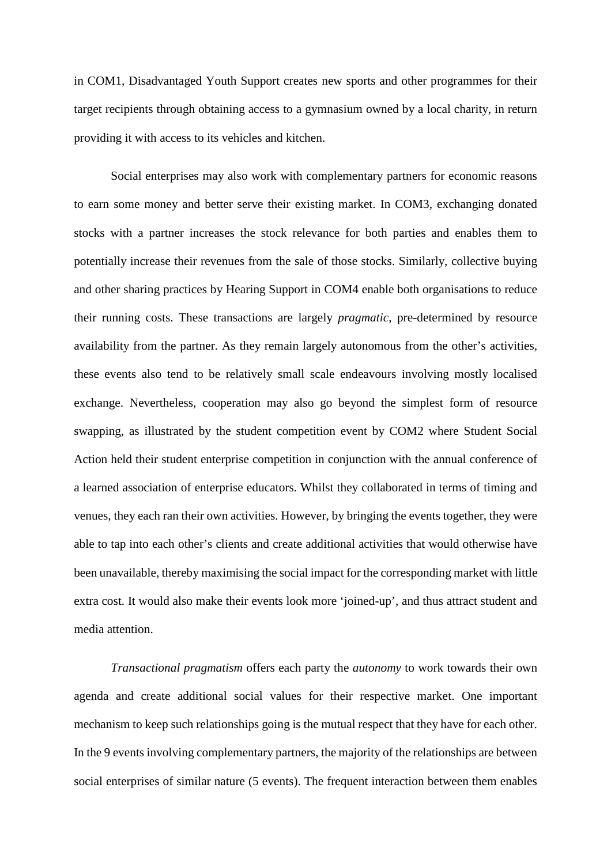in COM1, Disadvantaged Youth Support creates new sports and other programmes for their target recipients through obtaining access to a gymnasium owned by a local charity, in return providing it with access to its vehicles and kitchen.

Social enterprises may also work with complementary partners for economic reasons to earn some money and better serve their existing market. In COM3, exchanging donated stocks with a partner increases the stock relevance for both parties and enables them to potentially increase their revenues from the sale of those stocks. Similarly, collective buying and other sharing practices by Hearing Support in COM4 enable both organisations to reduce their running costs. These transactions are largely *pragmatic*, pre-determined by resource availability from the partner. As they remain largely autonomous from the other's activities, these events also tend to be relatively small scale endeavours involving mostly localised exchange. Nevertheless, cooperation may also go beyond the simplest form of resource swapping, as illustrated by the student competition event by COM2 where Student Social Action held their student enterprise competition in conjunction with the annual conference of a learned association of enterprise educators. Whilst they collaborated in terms of timing and venues, they each ran their own activities. However, by bringing the events together, they were able to tap into each other's clients and create additional activities that would otherwise have been unavailable, thereby maximising the social impact for the corresponding market with little extra cost. It would also make their events look more 'joined-up', and thus attract student and media attention.

*Transactional pragmatism* offers each party the *autonomy* to work towards their own agenda and create additional social values for their respective market. One important mechanism to keep such relationships going is the mutual respect that they have for each other. In the 9 events involving complementary partners, the majority of the relationships are between social enterprises of similar nature (5 events). The frequent interaction between them enables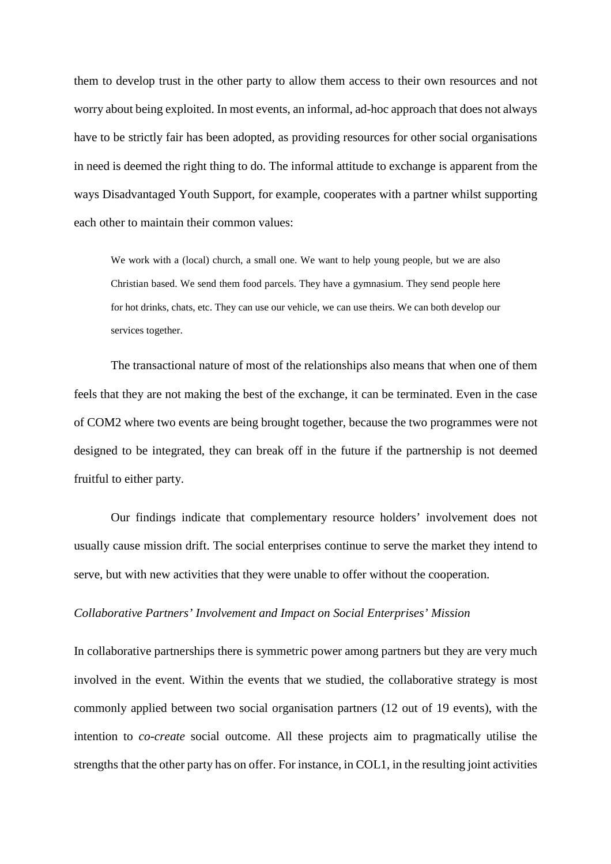them to develop trust in the other party to allow them access to their own resources and not worry about being exploited. In most events, an informal, ad-hoc approach that does not always have to be strictly fair has been adopted, as providing resources for other social organisations in need is deemed the right thing to do. The informal attitude to exchange is apparent from the ways Disadvantaged Youth Support, for example, cooperates with a partner whilst supporting each other to maintain their common values:

We work with a (local) church, a small one. We want to help young people, but we are also Christian based. We send them food parcels. They have a gymnasium. They send people here for hot drinks, chats, etc. They can use our vehicle, we can use theirs. We can both develop our services together.

The transactional nature of most of the relationships also means that when one of them feels that they are not making the best of the exchange, it can be terminated. Even in the case of COM2 where two events are being brought together, because the two programmes were not designed to be integrated, they can break off in the future if the partnership is not deemed fruitful to either party.

Our findings indicate that complementary resource holders' involvement does not usually cause mission drift. The social enterprises continue to serve the market they intend to serve, but with new activities that they were unable to offer without the cooperation.

## *Collaborative Partners' Involvement and Impact on Social Enterprises' Mission*

In collaborative partnerships there is symmetric power among partners but they are very much involved in the event. Within the events that we studied, the collaborative strategy is most commonly applied between two social organisation partners (12 out of 19 events), with the intention to *co-create* social outcome. All these projects aim to pragmatically utilise the strengths that the other party has on offer. For instance, in COL1, in the resulting joint activities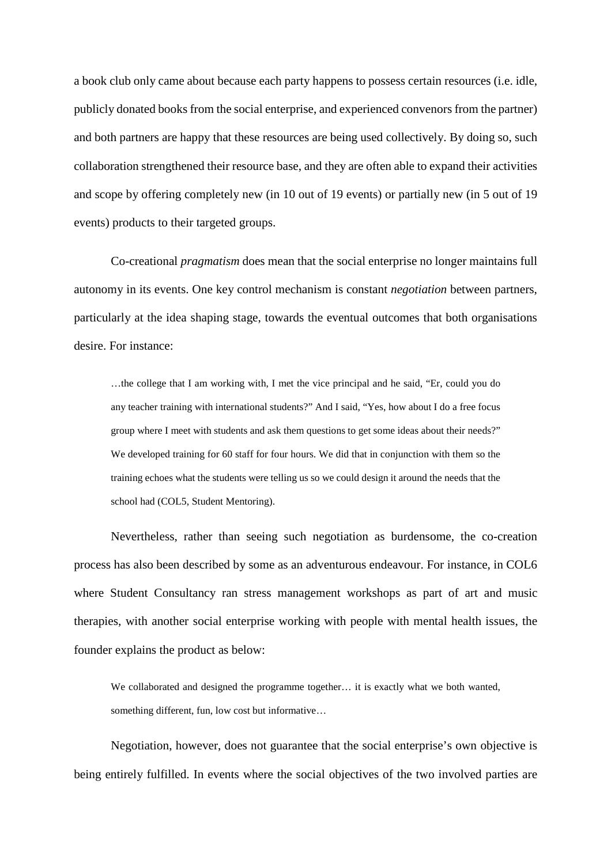a book club only came about because each party happens to possess certain resources (i.e. idle, publicly donated books from the social enterprise, and experienced convenors from the partner) and both partners are happy that these resources are being used collectively. By doing so, such collaboration strengthened their resource base, and they are often able to expand their activities and scope by offering completely new (in 10 out of 19 events) or partially new (in 5 out of 19 events) products to their targeted groups.

Co-creational *pragmatism* does mean that the social enterprise no longer maintains full autonomy in its events. One key control mechanism is constant *negotiation* between partners, particularly at the idea shaping stage, towards the eventual outcomes that both organisations desire. For instance:

…the college that I am working with, I met the vice principal and he said, "Er, could you do any teacher training with international students?" And I said, "Yes, how about I do a free focus group where I meet with students and ask them questions to get some ideas about their needs?" We developed training for 60 staff for four hours. We did that in conjunction with them so the training echoes what the students were telling us so we could design it around the needs that the school had (COL5, Student Mentoring).

Nevertheless, rather than seeing such negotiation as burdensome, the co-creation process has also been described by some as an adventurous endeavour. For instance, in COL6 where Student Consultancy ran stress management workshops as part of art and music therapies, with another social enterprise working with people with mental health issues, the founder explains the product as below:

We collaborated and designed the programme together... it is exactly what we both wanted, something different, fun, low cost but informative…

Negotiation, however, does not guarantee that the social enterprise's own objective is being entirely fulfilled. In events where the social objectives of the two involved parties are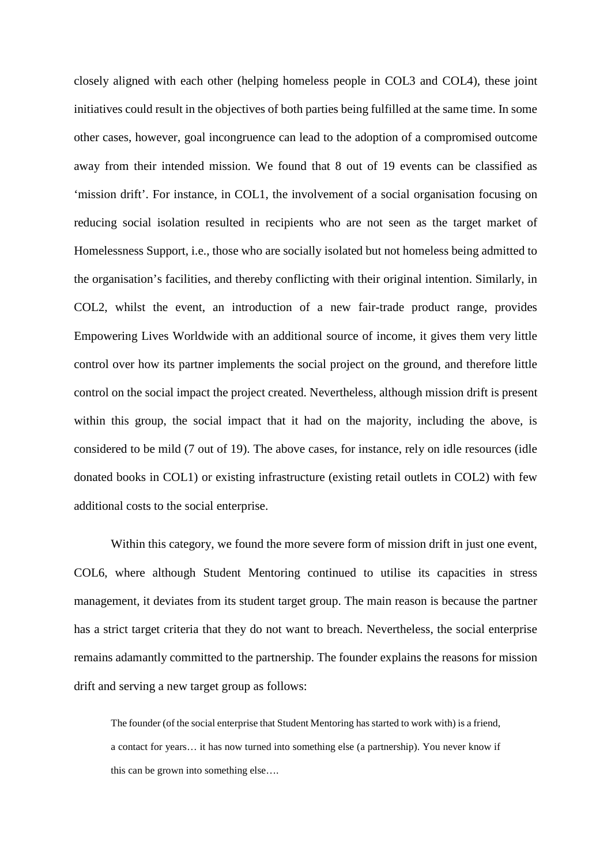closely aligned with each other (helping homeless people in COL3 and COL4), these joint initiatives could result in the objectives of both parties being fulfilled at the same time. In some other cases, however, goal incongruence can lead to the adoption of a compromised outcome away from their intended mission. We found that 8 out of 19 events can be classified as 'mission drift'. For instance, in COL1, the involvement of a social organisation focusing on reducing social isolation resulted in recipients who are not seen as the target market of Homelessness Support, i.e., those who are socially isolated but not homeless being admitted to the organisation's facilities, and thereby conflicting with their original intention. Similarly, in COL2, whilst the event, an introduction of a new fair-trade product range, provides Empowering Lives Worldwide with an additional source of income, it gives them very little control over how its partner implements the social project on the ground, and therefore little control on the social impact the project created. Nevertheless, although mission drift is present within this group, the social impact that it had on the majority, including the above, is considered to be mild (7 out of 19). The above cases, for instance, rely on idle resources (idle donated books in COL1) or existing infrastructure (existing retail outlets in COL2) with few additional costs to the social enterprise.

Within this category, we found the more severe form of mission drift in just one event, COL6, where although Student Mentoring continued to utilise its capacities in stress management, it deviates from its student target group. The main reason is because the partner has a strict target criteria that they do not want to breach. Nevertheless, the social enterprise remains adamantly committed to the partnership. The founder explains the reasons for mission drift and serving a new target group as follows:

The founder (of the social enterprise that Student Mentoring has started to work with) is a friend, a contact for years… it has now turned into something else (a partnership). You never know if this can be grown into something else….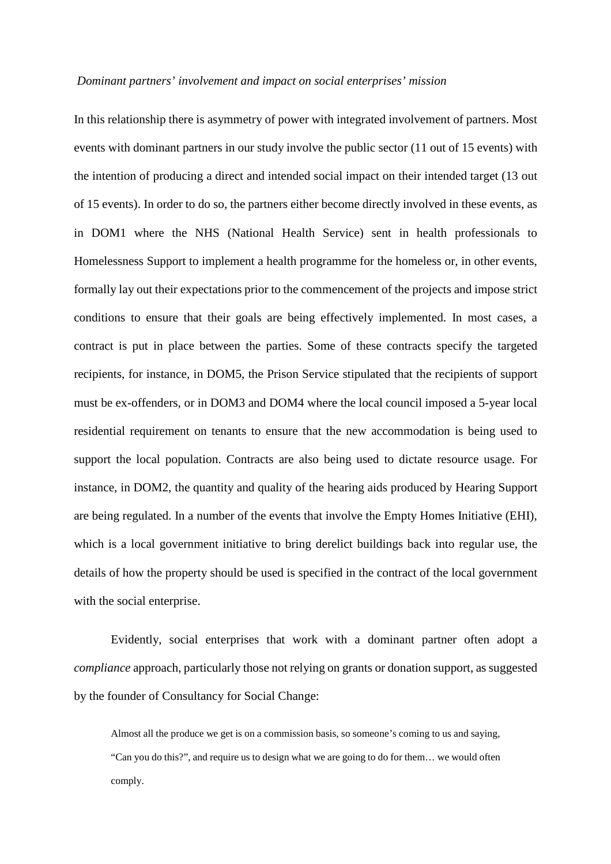### *Dominant partners' involvement and impact on social enterprises' mission*

In this relationship there is asymmetry of power with integrated involvement of partners. Most events with dominant partners in our study involve the public sector (11 out of 15 events) with the intention of producing a direct and intended social impact on their intended target (13 out of 15 events). In order to do so, the partners either become directly involved in these events, as in DOM1 where the NHS (National Health Service) sent in health professionals to Homelessness Support to implement a health programme for the homeless or, in other events, formally lay out their expectations prior to the commencement of the projects and impose strict conditions to ensure that their goals are being effectively implemented. In most cases, a contract is put in place between the parties. Some of these contracts specify the targeted recipients, for instance, in DOM5, the Prison Service stipulated that the recipients of support must be ex-offenders, or in DOM3 and DOM4 where the local council imposed a 5-year local residential requirement on tenants to ensure that the new accommodation is being used to support the local population. Contracts are also being used to dictate resource usage. For instance, in DOM2, the quantity and quality of the hearing aids produced by Hearing Support are being regulated. In a number of the events that involve the Empty Homes Initiative (EHI), which is a local government initiative to bring derelict buildings back into regular use, the details of how the property should be used is specified in the contract of the local government with the social enterprise.

Evidently, social enterprises that work with a dominant partner often adopt a *compliance* approach, particularly those not relying on grants or donation support, as suggested by the founder of Consultancy for Social Change:

Almost all the produce we get is on a commission basis, so someone's coming to us and saying, "Can you do this?", and require us to design what we are going to do for them… we would often comply.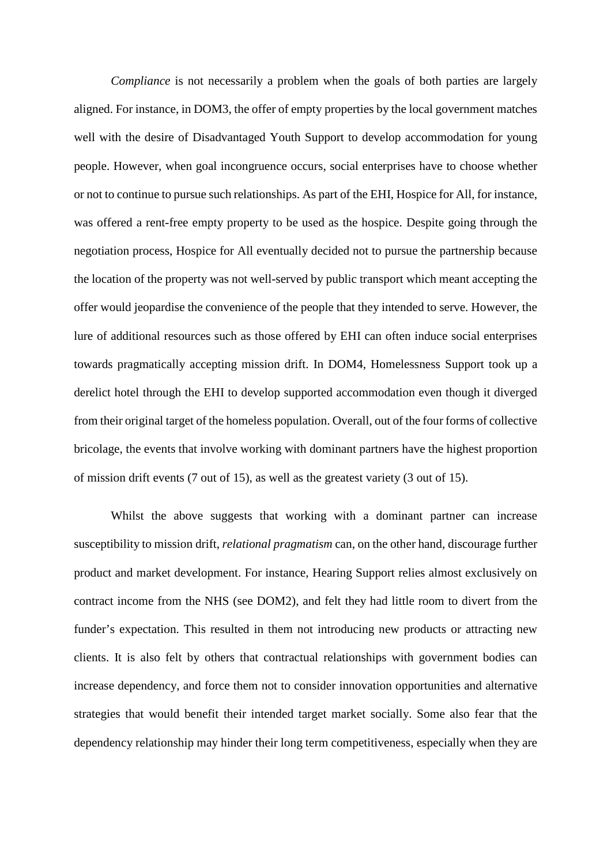*Compliance* is not necessarily a problem when the goals of both parties are largely aligned. For instance, in DOM3, the offer of empty properties by the local government matches well with the desire of Disadvantaged Youth Support to develop accommodation for young people. However, when goal incongruence occurs, social enterprises have to choose whether or not to continue to pursue such relationships. As part of the EHI, Hospice for All, for instance, was offered a rent-free empty property to be used as the hospice. Despite going through the negotiation process, Hospice for All eventually decided not to pursue the partnership because the location of the property was not well-served by public transport which meant accepting the offer would jeopardise the convenience of the people that they intended to serve. However, the lure of additional resources such as those offered by EHI can often induce social enterprises towards pragmatically accepting mission drift. In DOM4, Homelessness Support took up a derelict hotel through the EHI to develop supported accommodation even though it diverged from their original target of the homeless population. Overall, out of the four forms of collective bricolage, the events that involve working with dominant partners have the highest proportion of mission drift events (7 out of 15), as well as the greatest variety (3 out of 15).

Whilst the above suggests that working with a dominant partner can increase susceptibility to mission drift, *relational pragmatism* can, on the other hand, discourage further product and market development. For instance, Hearing Support relies almost exclusively on contract income from the NHS (see DOM2), and felt they had little room to divert from the funder's expectation. This resulted in them not introducing new products or attracting new clients. It is also felt by others that contractual relationships with government bodies can increase dependency, and force them not to consider innovation opportunities and alternative strategies that would benefit their intended target market socially. Some also fear that the dependency relationship may hinder their long term competitiveness, especially when they are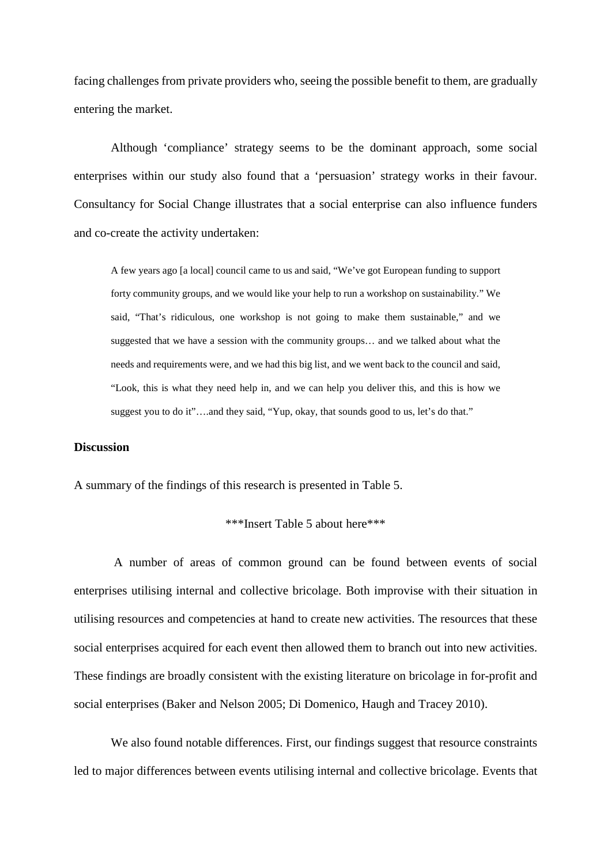facing challenges from private providers who, seeing the possible benefit to them, are gradually entering the market.

Although 'compliance' strategy seems to be the dominant approach, some social enterprises within our study also found that a 'persuasion' strategy works in their favour. Consultancy for Social Change illustrates that a social enterprise can also influence funders and co-create the activity undertaken:

A few years ago [a local] council came to us and said, "We've got European funding to support forty community groups, and we would like your help to run a workshop on sustainability." We said, "That's ridiculous, one workshop is not going to make them sustainable," and we suggested that we have a session with the community groups… and we talked about what the needs and requirements were, and we had this big list, and we went back to the council and said, "Look, this is what they need help in, and we can help you deliver this, and this is how we suggest you to do it"….and they said, "Yup, okay, that sounds good to us, let's do that."

## **Discussion**

A summary of the findings of this research is presented in Table 5.

```
***Insert Table 5 about here***
```
 A number of areas of common ground can be found between events of social enterprises utilising internal and collective bricolage. Both improvise with their situation in utilising resources and competencies at hand to create new activities. The resources that these social enterprises acquired for each event then allowed them to branch out into new activities. These findings are broadly consistent with the existing literature on bricolage in for-profit and social enterprises (Baker and Nelson 2005; Di Domenico, Haugh and Tracey 2010).

We also found notable differences. First, our findings suggest that resource constraints led to major differences between events utilising internal and collective bricolage. Events that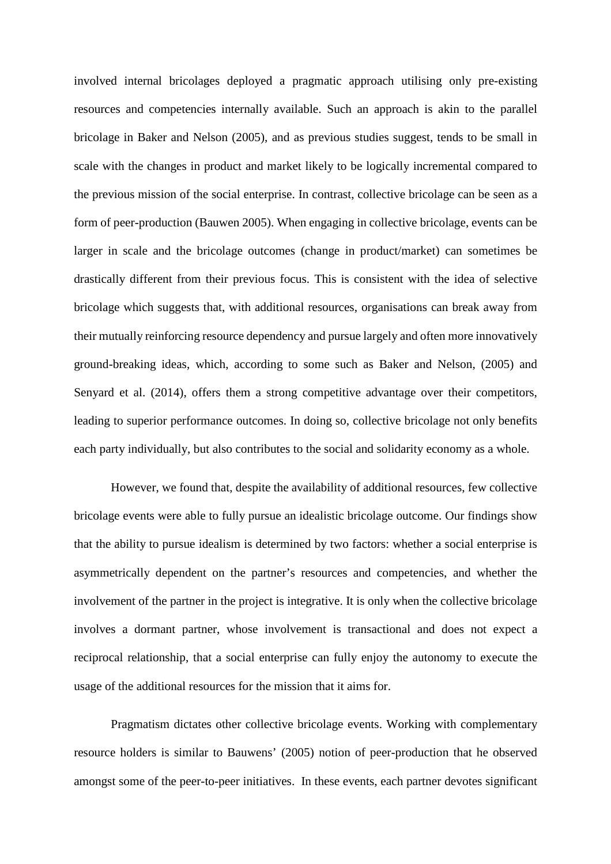involved internal bricolages deployed a pragmatic approach utilising only pre-existing resources and competencies internally available. Such an approach is akin to the parallel bricolage in Baker and Nelson (2005), and as previous studies suggest, tends to be small in scale with the changes in product and market likely to be logically incremental compared to the previous mission of the social enterprise. In contrast, collective bricolage can be seen as a form of peer-production (Bauwen 2005). When engaging in collective bricolage, events can be larger in scale and the bricolage outcomes (change in product/market) can sometimes be drastically different from their previous focus. This is consistent with the idea of selective bricolage which suggests that, with additional resources, organisations can break away from their mutually reinforcing resource dependency and pursue largely and often more innovatively ground-breaking ideas, which, according to some such as Baker and Nelson, (2005) and Senyard et al. (2014), offers them a strong competitive advantage over their competitors, leading to superior performance outcomes. In doing so, collective bricolage not only benefits each party individually, but also contributes to the social and solidarity economy as a whole.

However, we found that, despite the availability of additional resources, few collective bricolage events were able to fully pursue an idealistic bricolage outcome. Our findings show that the ability to pursue idealism is determined by two factors: whether a social enterprise is asymmetrically dependent on the partner's resources and competencies, and whether the involvement of the partner in the project is integrative. It is only when the collective bricolage involves a dormant partner, whose involvement is transactional and does not expect a reciprocal relationship, that a social enterprise can fully enjoy the autonomy to execute the usage of the additional resources for the mission that it aims for.

Pragmatism dictates other collective bricolage events. Working with complementary resource holders is similar to Bauwens' (2005) notion of peer-production that he observed amongst some of the peer-to-peer initiatives. In these events, each partner devotes significant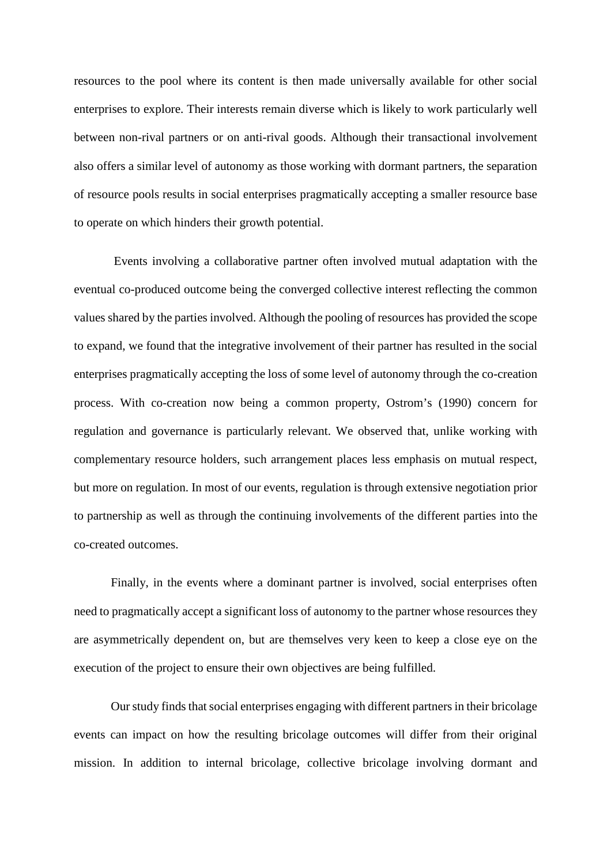resources to the pool where its content is then made universally available for other social enterprises to explore. Their interests remain diverse which is likely to work particularly well between non-rival partners or on anti-rival goods. Although their transactional involvement also offers a similar level of autonomy as those working with dormant partners, the separation of resource pools results in social enterprises pragmatically accepting a smaller resource base to operate on which hinders their growth potential.

 Events involving a collaborative partner often involved mutual adaptation with the eventual co-produced outcome being the converged collective interest reflecting the common values shared by the parties involved. Although the pooling of resources has provided the scope to expand, we found that the integrative involvement of their partner has resulted in the social enterprises pragmatically accepting the loss of some level of autonomy through the co-creation process. With co-creation now being a common property, Ostrom's (1990) concern for regulation and governance is particularly relevant. We observed that, unlike working with complementary resource holders, such arrangement places less emphasis on mutual respect, but more on regulation. In most of our events, regulation is through extensive negotiation prior to partnership as well as through the continuing involvements of the different parties into the co-created outcomes.

Finally, in the events where a dominant partner is involved, social enterprises often need to pragmatically accept a significant loss of autonomy to the partner whose resources they are asymmetrically dependent on, but are themselves very keen to keep a close eye on the execution of the project to ensure their own objectives are being fulfilled.

 Our study finds that social enterprises engaging with different partners in their bricolage events can impact on how the resulting bricolage outcomes will differ from their original mission. In addition to internal bricolage, collective bricolage involving dormant and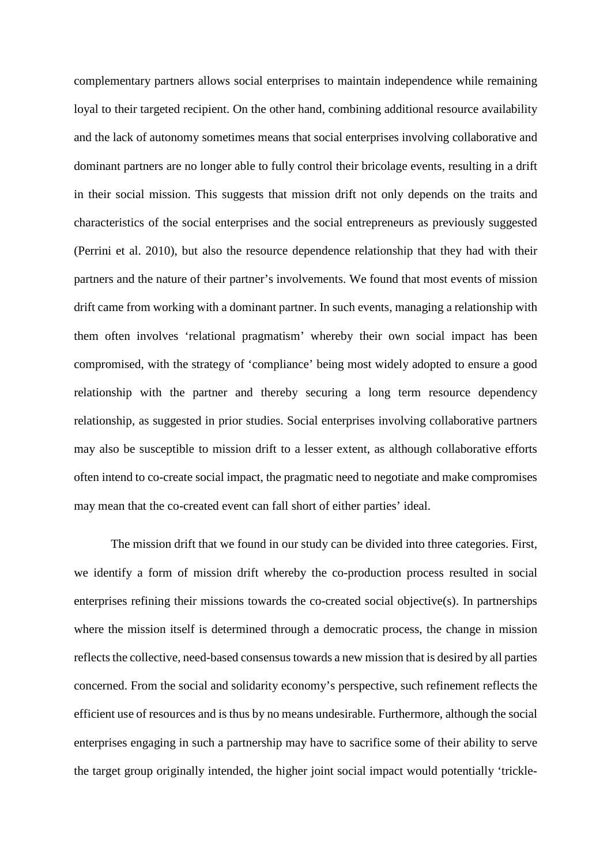complementary partners allows social enterprises to maintain independence while remaining loyal to their targeted recipient. On the other hand, combining additional resource availability and the lack of autonomy sometimes means that social enterprises involving collaborative and dominant partners are no longer able to fully control their bricolage events, resulting in a drift in their social mission. This suggests that mission drift not only depends on the traits and characteristics of the social enterprises and the social entrepreneurs as previously suggested (Perrini et al. 2010), but also the resource dependence relationship that they had with their partners and the nature of their partner's involvements. We found that most events of mission drift came from working with a dominant partner. In such events, managing a relationship with them often involves 'relational pragmatism' whereby their own social impact has been compromised, with the strategy of 'compliance' being most widely adopted to ensure a good relationship with the partner and thereby securing a long term resource dependency relationship, as suggested in prior studies. Social enterprises involving collaborative partners may also be susceptible to mission drift to a lesser extent, as although collaborative efforts often intend to co-create social impact, the pragmatic need to negotiate and make compromises may mean that the co-created event can fall short of either parties' ideal.

The mission drift that we found in our study can be divided into three categories. First, we identify a form of mission drift whereby the co-production process resulted in social enterprises refining their missions towards the co-created social objective(s). In partnerships where the mission itself is determined through a democratic process, the change in mission reflects the collective, need-based consensus towards a new mission that is desired by all parties concerned. From the social and solidarity economy's perspective, such refinement reflects the efficient use of resources and is thus by no means undesirable. Furthermore, although the social enterprises engaging in such a partnership may have to sacrifice some of their ability to serve the target group originally intended, the higher joint social impact would potentially 'trickle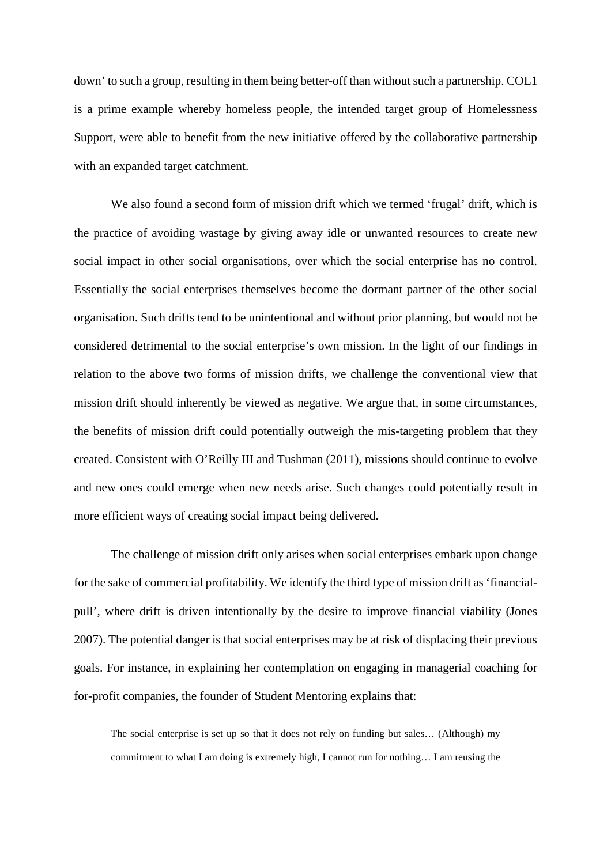down' to such a group, resulting in them being better-off than without such a partnership. COL1 is a prime example whereby homeless people, the intended target group of Homelessness Support, were able to benefit from the new initiative offered by the collaborative partnership with an expanded target catchment.

We also found a second form of mission drift which we termed 'frugal' drift, which is the practice of avoiding wastage by giving away idle or unwanted resources to create new social impact in other social organisations, over which the social enterprise has no control. Essentially the social enterprises themselves become the dormant partner of the other social organisation. Such drifts tend to be unintentional and without prior planning, but would not be considered detrimental to the social enterprise's own mission. In the light of our findings in relation to the above two forms of mission drifts, we challenge the conventional view that mission drift should inherently be viewed as negative. We argue that, in some circumstances, the benefits of mission drift could potentially outweigh the mis-targeting problem that they created. Consistent with O'Reilly III and Tushman (2011), missions should continue to evolve and new ones could emerge when new needs arise. Such changes could potentially result in more efficient ways of creating social impact being delivered.

The challenge of mission drift only arises when social enterprises embark upon change for the sake of commercial profitability. We identify the third type of mission drift as 'financialpull', where drift is driven intentionally by the desire to improve financial viability (Jones 2007). The potential danger is that social enterprises may be at risk of displacing their previous goals. For instance, in explaining her contemplation on engaging in managerial coaching for for-profit companies, the founder of Student Mentoring explains that:

The social enterprise is set up so that it does not rely on funding but sales… (Although) my commitment to what I am doing is extremely high, I cannot run for nothing… I am reusing the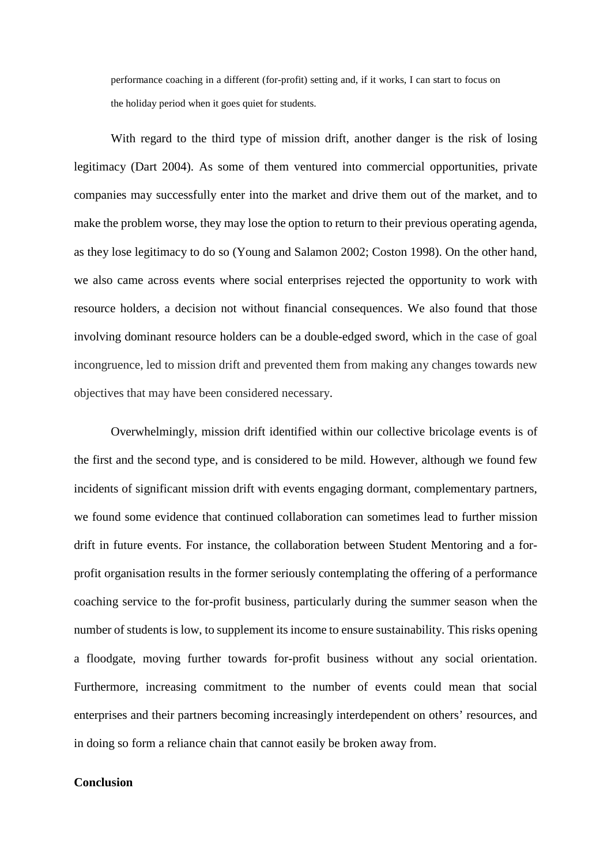performance coaching in a different (for-profit) setting and, if it works, I can start to focus on the holiday period when it goes quiet for students.

 With regard to the third type of mission drift, another danger is the risk of losing legitimacy (Dart 2004). As some of them ventured into commercial opportunities, private companies may successfully enter into the market and drive them out of the market, and to make the problem worse, they may lose the option to return to their previous operating agenda, as they lose legitimacy to do so (Young and Salamon 2002; Coston 1998). On the other hand, we also came across events where social enterprises rejected the opportunity to work with resource holders, a decision not without financial consequences. We also found that those involving dominant resource holders can be a double-edged sword, which in the case of goal incongruence, led to mission drift and prevented them from making any changes towards new objectives that may have been considered necessary.

Overwhelmingly, mission drift identified within our collective bricolage events is of the first and the second type, and is considered to be mild. However, although we found few incidents of significant mission drift with events engaging dormant, complementary partners, we found some evidence that continued collaboration can sometimes lead to further mission drift in future events. For instance, the collaboration between Student Mentoring and a forprofit organisation results in the former seriously contemplating the offering of a performance coaching service to the for-profit business, particularly during the summer season when the number of students is low, to supplement its income to ensure sustainability. This risks opening a floodgate, moving further towards for-profit business without any social orientation. Furthermore, increasing commitment to the number of events could mean that social enterprises and their partners becoming increasingly interdependent on others' resources, and in doing so form a reliance chain that cannot easily be broken away from.

## **Conclusion**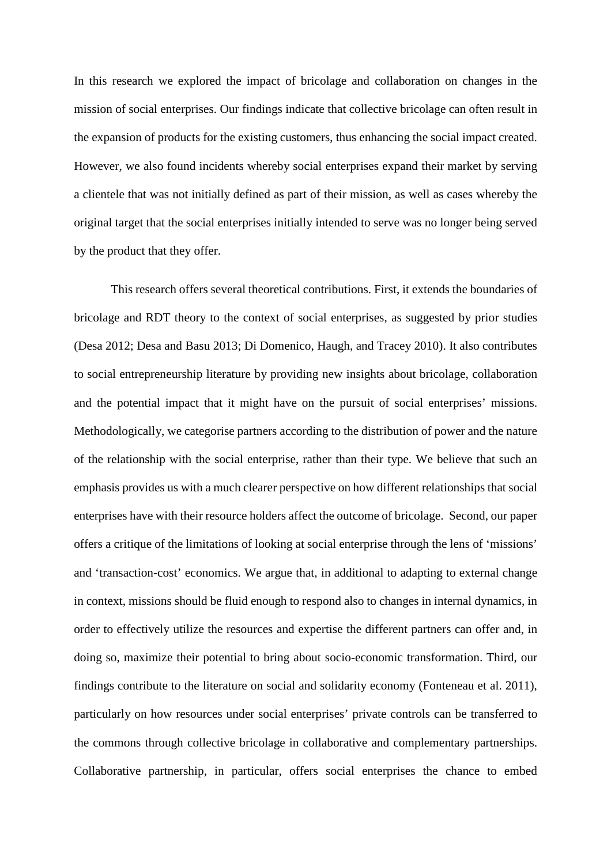In this research we explored the impact of bricolage and collaboration on changes in the mission of social enterprises. Our findings indicate that collective bricolage can often result in the expansion of products for the existing customers, thus enhancing the social impact created. However, we also found incidents whereby social enterprises expand their market by serving a clientele that was not initially defined as part of their mission, as well as cases whereby the original target that the social enterprises initially intended to serve was no longer being served by the product that they offer.

This research offers several theoretical contributions. First, it extends the boundaries of bricolage and RDT theory to the context of social enterprises, as suggested by prior studies (Desa 2012; Desa and Basu 2013; Di Domenico, Haugh, and Tracey 2010). It also contributes to social entrepreneurship literature by providing new insights about bricolage, collaboration and the potential impact that it might have on the pursuit of social enterprises' missions. Methodologically, we categorise partners according to the distribution of power and the nature of the relationship with the social enterprise, rather than their type. We believe that such an emphasis provides us with a much clearer perspective on how different relationships that social enterprises have with their resource holders affect the outcome of bricolage. Second, our paper offers a critique of the limitations of looking at social enterprise through the lens of 'missions' and 'transaction-cost' economics. We argue that, in additional to adapting to external change in context, missions should be fluid enough to respond also to changes in internal dynamics, in order to effectively utilize the resources and expertise the different partners can offer and, in doing so, maximize their potential to bring about socio-economic transformation. Third, our findings contribute to the literature on social and solidarity economy (Fonteneau et al. 2011), particularly on how resources under social enterprises' private controls can be transferred to the commons through collective bricolage in collaborative and complementary partnerships. Collaborative partnership, in particular, offers social enterprises the chance to embed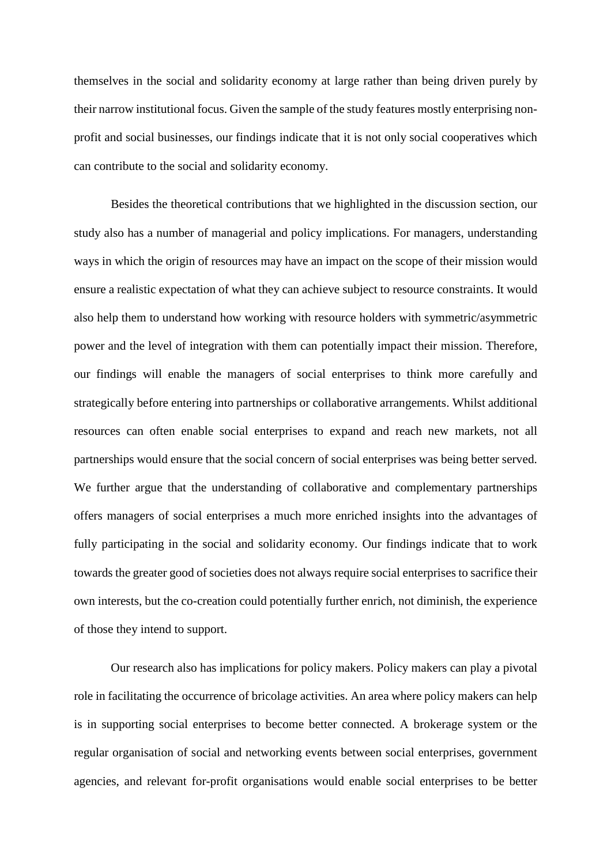themselves in the social and solidarity economy at large rather than being driven purely by their narrow institutional focus. Given the sample of the study features mostly enterprising nonprofit and social businesses, our findings indicate that it is not only social cooperatives which can contribute to the social and solidarity economy.

Besides the theoretical contributions that we highlighted in the discussion section, our study also has a number of managerial and policy implications. For managers, understanding ways in which the origin of resources may have an impact on the scope of their mission would ensure a realistic expectation of what they can achieve subject to resource constraints. It would also help them to understand how working with resource holders with symmetric/asymmetric power and the level of integration with them can potentially impact their mission. Therefore, our findings will enable the managers of social enterprises to think more carefully and strategically before entering into partnerships or collaborative arrangements. Whilst additional resources can often enable social enterprises to expand and reach new markets, not all partnerships would ensure that the social concern of social enterprises was being better served. We further argue that the understanding of collaborative and complementary partnerships offers managers of social enterprises a much more enriched insights into the advantages of fully participating in the social and solidarity economy. Our findings indicate that to work towards the greater good of societies does not always require social enterprises to sacrifice their own interests, but the co-creation could potentially further enrich, not diminish, the experience of those they intend to support.

Our research also has implications for policy makers. Policy makers can play a pivotal role in facilitating the occurrence of bricolage activities. An area where policy makers can help is in supporting social enterprises to become better connected. A brokerage system or the regular organisation of social and networking events between social enterprises, government agencies, and relevant for-profit organisations would enable social enterprises to be better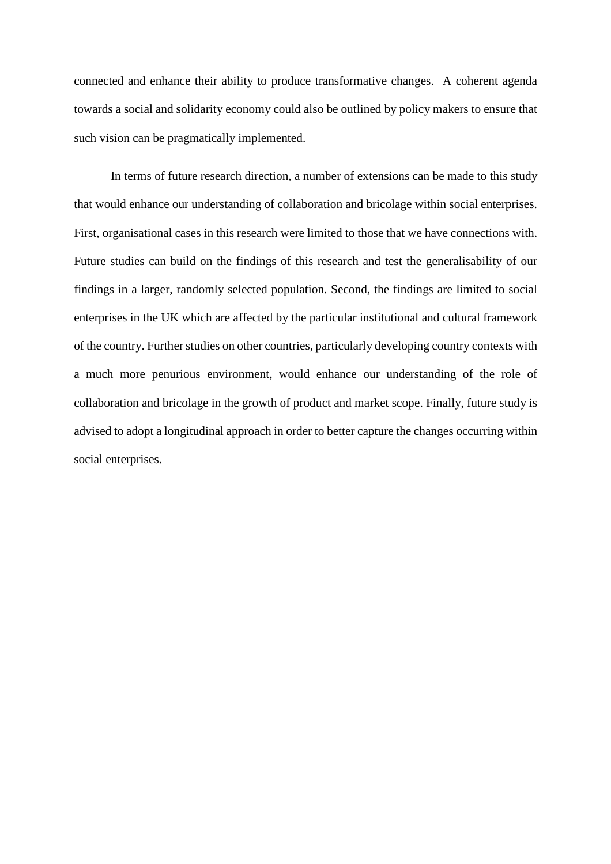connected and enhance their ability to produce transformative changes. A coherent agenda towards a social and solidarity economy could also be outlined by policy makers to ensure that such vision can be pragmatically implemented.

In terms of future research direction, a number of extensions can be made to this study that would enhance our understanding of collaboration and bricolage within social enterprises. First, organisational cases in this research were limited to those that we have connections with. Future studies can build on the findings of this research and test the generalisability of our findings in a larger, randomly selected population. Second, the findings are limited to social enterprises in the UK which are affected by the particular institutional and cultural framework of the country. Further studies on other countries, particularly developing country contexts with a much more penurious environment, would enhance our understanding of the role of collaboration and bricolage in the growth of product and market scope. Finally, future study is advised to adopt a longitudinal approach in order to better capture the changes occurring within social enterprises.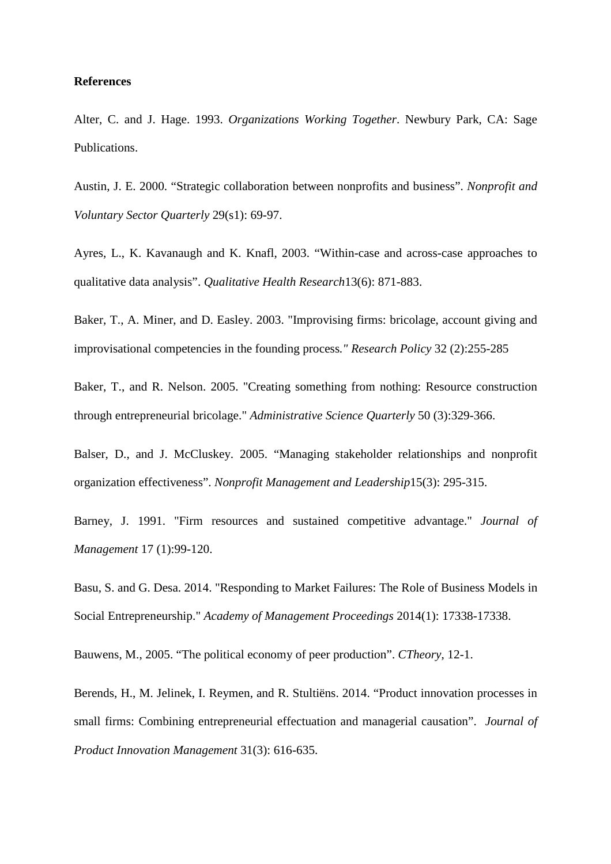### **References**

Alter, C. and J. Hage. 1993. *Organizations Working Together*. Newbury Park, CA: Sage Publications.

Austin, J. E. 2000. "Strategic collaboration between nonprofits and business". *Nonprofit and Voluntary Sector Quarterly* 29(s1): 69-97.

Ayres, L., K. Kavanaugh and K. Knafl, 2003. "Within-case and across-case approaches to qualitative data analysis". *Qualitative Health Research*13(6): 871-883.

Baker, T., A. Miner, and D. Easley. 2003. "Improvising firms: bricolage, account giving and improvisational competencies in the founding process*." Research Policy* 32 (2):255-285

Baker, T., and R. Nelson. 2005. "Creating something from nothing: Resource construction through entrepreneurial bricolage." *Administrative Science Quarterly* 50 (3):329-366.

Balser, D., and J. McCluskey. 2005. "Managing stakeholder relationships and nonprofit organization effectiveness". *Nonprofit Management and Leadership*15(3): 295-315.

Barney, J. 1991. "Firm resources and sustained competitive advantage." *Journal of Management* 17 (1):99-120.

Basu, S. and G. Desa. 2014. "Responding to Market Failures: The Role of Business Models in Social Entrepreneurship." *Academy of Management Proceedings* 2014(1): 17338-17338.

Bauwens, M., 2005. "The political economy of peer production". *CTheory*, 12-1.

Berends, H., M. Jelinek, I. Reymen, and R. Stultiëns. 2014. "Product innovation processes in small firms: Combining entrepreneurial effectuation and managerial causation". *Journal of Product Innovation Management* 31(3): 616-635.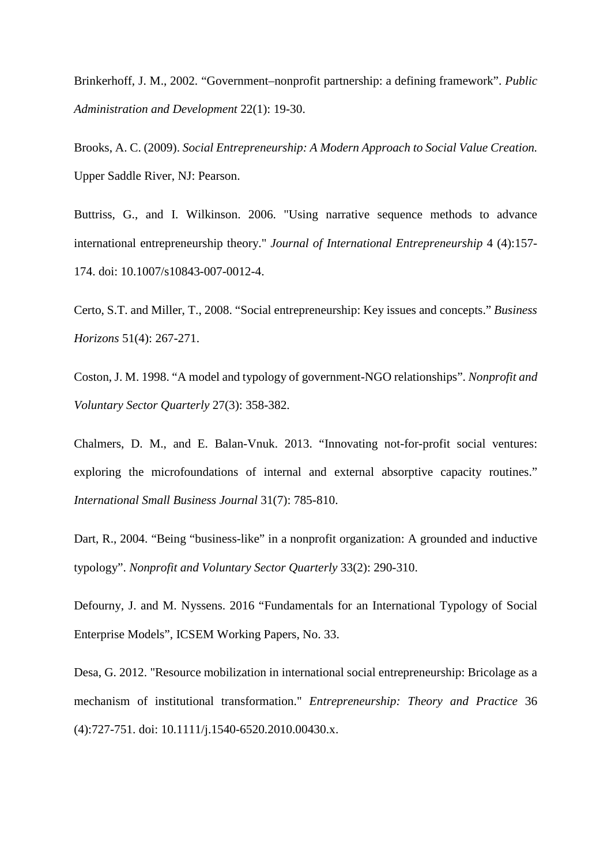Brinkerhoff, J. M., 2002. "Government–nonprofit partnership: a defining framework". *Public Administration and Development* 22(1): 19-30.

Brooks, A. C. (2009). *Social Entrepreneurship: A Modern Approach to Social Value Creation.* Upper Saddle River, NJ: Pearson.

Buttriss, G., and I. Wilkinson. 2006. "Using narrative sequence methods to advance international entrepreneurship theory." *Journal of International Entrepreneurship* 4 (4):157- 174. doi: 10.1007/s10843-007-0012-4.

Certo, S.T. and Miller, T., 2008. "Social entrepreneurship: Key issues and concepts." *Business Horizons* 51(4): 267-271.

Coston, J. M. 1998. "A model and typology of government-NGO relationships". *Nonprofit and Voluntary Sector Quarterly* 27(3): 358-382.

Chalmers, D. M., and E. Balan-Vnuk. 2013. "Innovating not-for-profit social ventures: exploring the microfoundations of internal and external absorptive capacity routines." *International Small Business Journal* 31(7): 785-810.

Dart, R., 2004. "Being "business-like" in a nonprofit organization: A grounded and inductive typology". *Nonprofit and Voluntary Sector Quarterly* 33(2): 290-310.

Defourny, J. and M. Nyssens. 2016 "Fundamentals for an International Typology of Social Enterprise Models", ICSEM Working Papers, No. 33.

Desa, G. 2012. "Resource mobilization in international social entrepreneurship: Bricolage as a mechanism of institutional transformation." *Entrepreneurship: Theory and Practice* 36 (4):727-751. doi: 10.1111/j.1540-6520.2010.00430.x.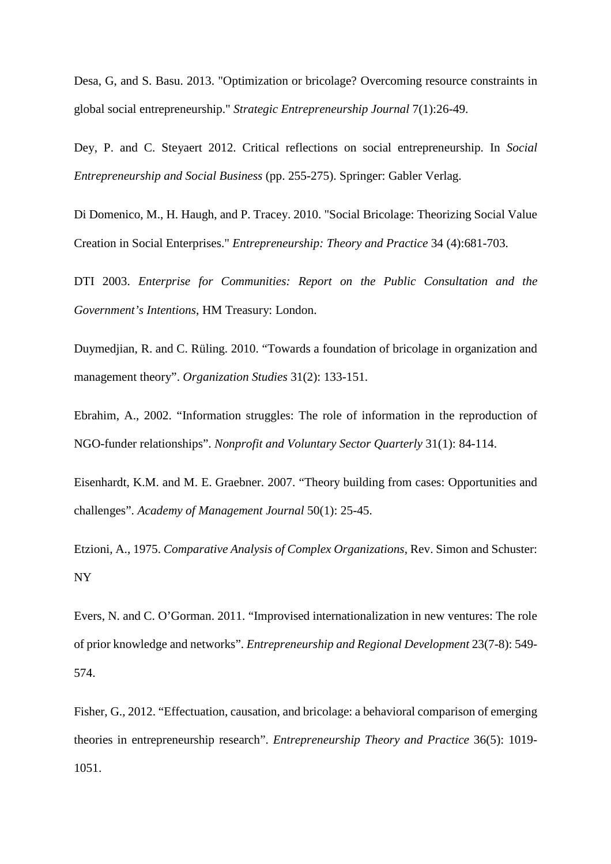Desa, G, and S. Basu. 2013. "Optimization or bricolage? Overcoming resource constraints in global social entrepreneurship." *Strategic Entrepreneurship Journal* 7(1):26-49.

Dey, P. and C. Steyaert 2012. Critical reflections on social entrepreneurship. In *Social Entrepreneurship and Social Business* (pp. 255-275). Springer: Gabler Verlag.

Di Domenico, M., H. Haugh, and P. Tracey. 2010. "Social Bricolage: Theorizing Social Value Creation in Social Enterprises." *Entrepreneurship: Theory and Practice* 34 (4):681-703.

DTI 2003. *Enterprise for Communities: Report on the Public Consultation and the Government's Intentions*, HM Treasury: London.

Duymedjian, R. and C. Rüling. 2010. "Towards a foundation of bricolage in organization and management theory". *Organization Studies* 31(2): 133-151.

Ebrahim, A., 2002. "Information struggles: The role of information in the reproduction of NGO-funder relationships". *Nonprofit and Voluntary Sector Quarterly* 31(1): 84-114.

Eisenhardt, K.M. and M. E. Graebner. 2007. "Theory building from cases: Opportunities and challenges". *Academy of Management Journal* 50(1): 25-45.

Etzioni, A., 1975. *Comparative Analysis of Complex Organizations*, Rev. Simon and Schuster: NY

Evers, N. and C. O'Gorman. 2011. "Improvised internationalization in new ventures: The role of prior knowledge and networks". *Entrepreneurship and Regional Development* 23(7-8): 549- 574.

Fisher, G., 2012. "Effectuation, causation, and bricolage: a behavioral comparison of emerging theories in entrepreneurship research". *Entrepreneurship Theory and Practice* 36(5): 1019- 1051.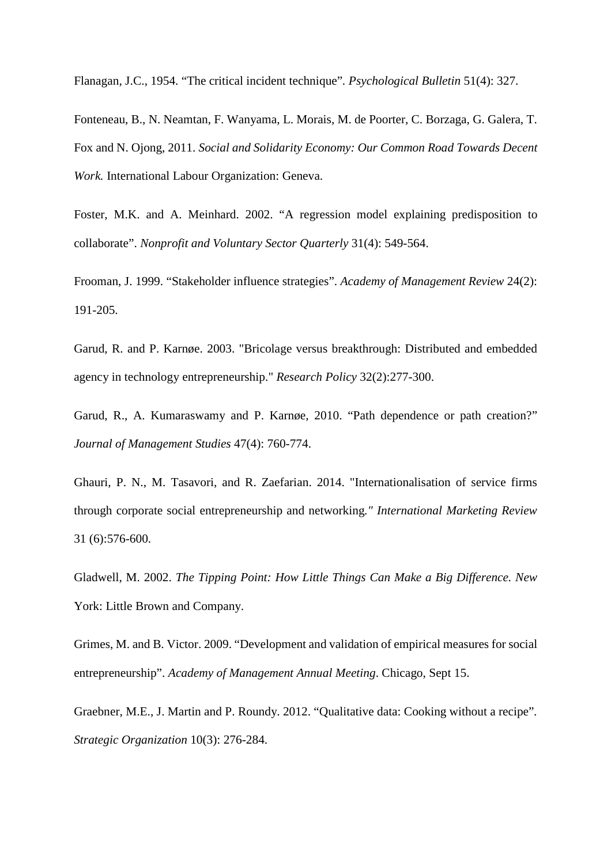Flanagan, J.C., 1954. "The critical incident technique"*. Psychological Bulletin* 51(4): 327.

Fonteneau, B., N. Neamtan, F. Wanyama, L. Morais, M. de Poorter, C. Borzaga, G. Galera, T. Fox and N. Ojong, 2011. *Social and Solidarity Economy: Our Common Road Towards Decent Work.* International Labour Organization: Geneva.

Foster, M.K. and A. Meinhard. 2002. "A regression model explaining predisposition to collaborate". *Nonprofit and Voluntary Sector Quarterly* 31(4): 549-564.

Frooman, J. 1999. "Stakeholder influence strategies". *Academy of Management Review* 24(2): 191-205.

Garud, R. and P. Karnøe. 2003. "Bricolage versus breakthrough: Distributed and embedded agency in technology entrepreneurship." *Research Policy* 32(2):277-300.

Garud, R., A. Kumaraswamy and P. Karnøe, 2010. "Path dependence or path creation?" *Journal of Management Studies* 47(4): 760-774.

Ghauri, P. N., M. Tasavori, and R. Zaefarian. 2014. "Internationalisation of service firms through corporate social entrepreneurship and networking*." International Marketing Review*  31 (6):576-600.

Gladwell, M. 2002. *The Tipping Point: How Little Things Can Make a Big Difference. New*  York: Little Brown and Company.

Grimes, M. and B. Victor. 2009. "Development and validation of empirical measures for social entrepreneurship". *Academy of Management Annual Meeting*. Chicago, Sept 15.

Graebner, M.E., J. Martin and P. Roundy. 2012. "Qualitative data: Cooking without a recipe"*. Strategic Organization* 10(3): 276-284.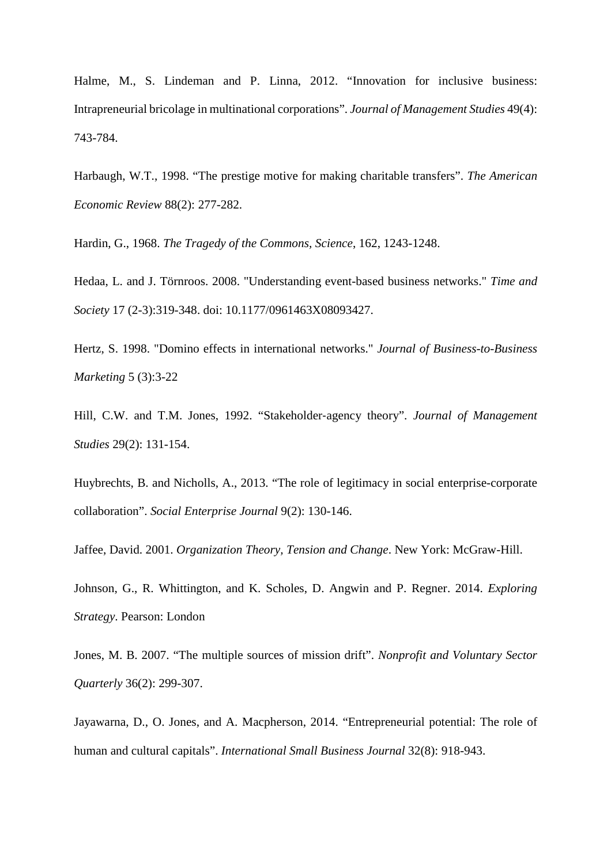Halme, M., S. Lindeman and P. Linna, 2012. "Innovation for inclusive business: Intrapreneurial bricolage in multinational corporations". *Journal of Management Studies* 49(4): 743-784.

Harbaugh, W.T., 1998. "The prestige motive for making charitable transfers". *The American Economic Review* 88(2): 277-282.

Hardin, G., 1968. *The Tragedy of the Commons, Science*, 162, 1243-1248.

Hedaa, L. and J. Törnroos. 2008. "Understanding event-based business networks." *Time and Society* 17 (2-3):319-348. doi: 10.1177/0961463X08093427.

Hertz, S. 1998. "Domino effects in international networks." *Journal of Business-to-Business Marketing* 5 (3):3-22

Hill, C.W. and T.M. Jones, 1992. "Stakeholder‐agency theory". *Journal of Management Studies* 29(2): 131-154.

Huybrechts, B. and Nicholls, A., 2013. "The role of legitimacy in social enterprise-corporate collaboration". *Social Enterprise Journal* 9(2): 130-146.

Jaffee, David. 2001. *Organization Theory, Tension and Change*. New York: McGraw-Hill.

Johnson, G., R. Whittington, and K. Scholes, D. Angwin and P. Regner. 2014. *Exploring Strategy*. Pearson: London

Jones, M. B. 2007. "The multiple sources of mission drift". *Nonprofit and Voluntary Sector Quarterly* 36(2): 299-307.

Jayawarna, D., O. Jones, and A. Macpherson, 2014. "Entrepreneurial potential: The role of human and cultural capitals". *International Small Business Journal* 32(8): 918-943.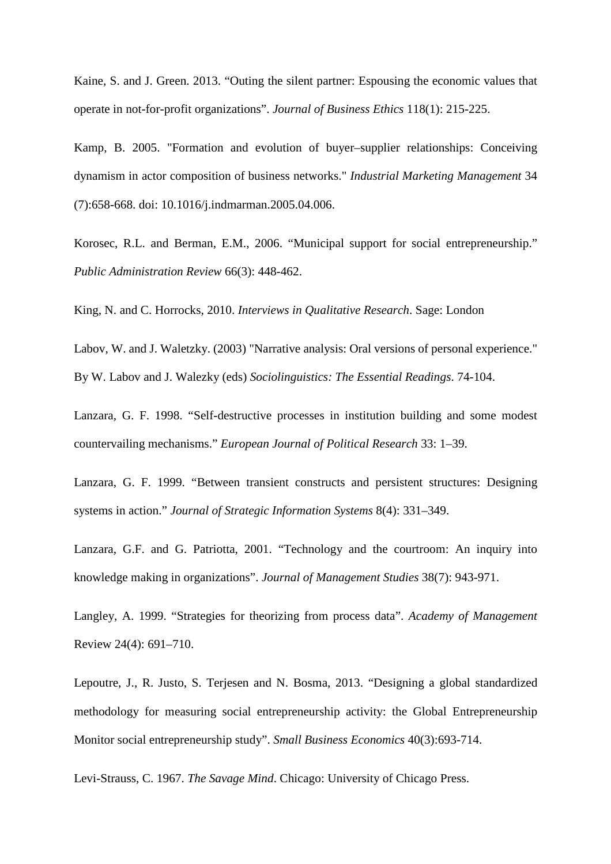Kaine, S. and J. Green. 2013. "Outing the silent partner: Espousing the economic values that operate in not-for-profit organizations". *Journal of Business Ethics* 118(1): 215-225.

Kamp, B. 2005. "Formation and evolution of buyer–supplier relationships: Conceiving dynamism in actor composition of business networks." *Industrial Marketing Management* 34 (7):658-668. doi: 10.1016/j.indmarman.2005.04.006.

Korosec, R.L. and Berman, E.M., 2006. "Municipal support for social entrepreneurship." *Public Administration Review* 66(3): 448-462.

King, N. and C. Horrocks, 2010. *Interviews in Qualitative Research*. Sage: London

Labov, W. and J. Waletzky. (2003) "Narrative analysis: Oral versions of personal experience." By W. Labov and J. Walezky (eds) *Sociolinguistics: The Essential Readings*. 74-104.

Lanzara, G. F. 1998. "Self-destructive processes in institution building and some modest countervailing mechanisms." *European Journal of Political Research* 33: 1–39.

Lanzara, G. F. 1999. "Between transient constructs and persistent structures: Designing systems in action." *Journal of Strategic Information Systems* 8(4): 331–349.

Lanzara, G.F. and G. Patriotta, 2001. "Technology and the courtroom: An inquiry into knowledge making in organizations". *Journal of Management Studies* 38(7): 943-971.

Langley, A. 1999. "Strategies for theorizing from process data". *Academy of Management* Review 24(4): 691–710.

Lepoutre, J., R. Justo, S. Terjesen and N. Bosma, 2013. "Designing a global standardized methodology for measuring social entrepreneurship activity: the Global Entrepreneurship Monitor social entrepreneurship study". *Small Business Economics* 40(3):693-714.

Levi-Strauss, C. 1967. *The Savage Mind*. Chicago: University of Chicago Press.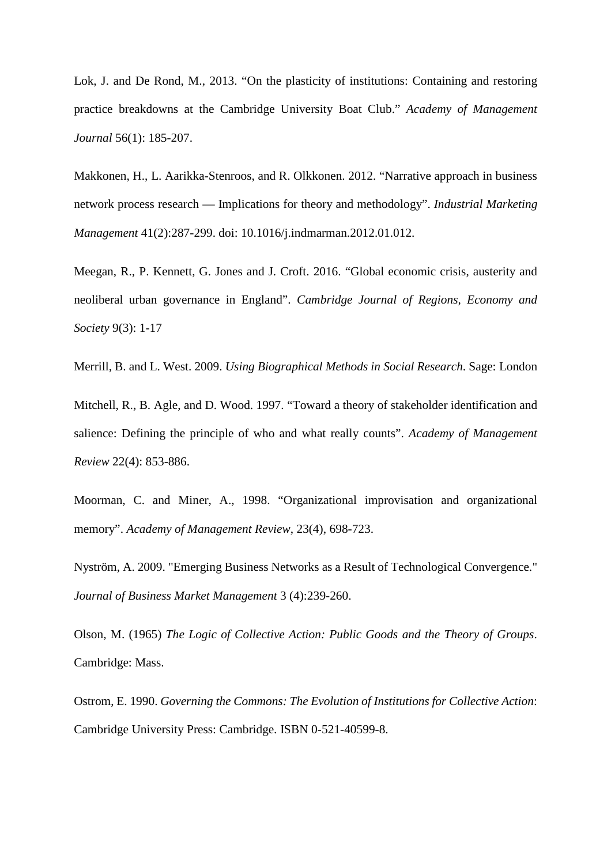Lok, J. and De Rond, M., 2013. "On the plasticity of institutions: Containing and restoring practice breakdowns at the Cambridge University Boat Club." *Academy of Management Journal* 56(1): 185-207.

Makkonen, H., L. Aarikka-Stenroos, and R. Olkkonen. 2012. "Narrative approach in business network process research — Implications for theory and methodology". *Industrial Marketing Management* 41(2):287-299. doi: 10.1016/j.indmarman.2012.01.012.

Meegan, R., P. Kennett, G. Jones and J. Croft. 2016. "Global economic crisis, austerity and neoliberal urban governance in England". *Cambridge Journal of Regions, Economy and Society* 9(3): 1-17

Merrill, B. and L. West. 2009. *Using Biographical Methods in Social Research*. Sage: London

Mitchell, R., B. Agle, and D. Wood. 1997. "Toward a theory of stakeholder identification and salience: Defining the principle of who and what really counts". *Academy of Management Review* 22(4): 853-886.

Moorman, C. and Miner, A., 1998. "Organizational improvisation and organizational memory". *Academy of Management Review*, 23(4), 698-723.

Nyström, A. 2009. "Emerging Business Networks as a Result of Technological Convergence." *Journal of Business Market Management* 3 (4):239-260.

Olson, M. (1965) *The Logic of Collective Action: Public Goods and the Theory of Groups*. Cambridge: Mass.

Ostrom, E. 1990. *Governing the Commons: The Evolution of Institutions for Collective Action*: Cambridge University Press: Cambridge. ISBN 0-521-40599-8.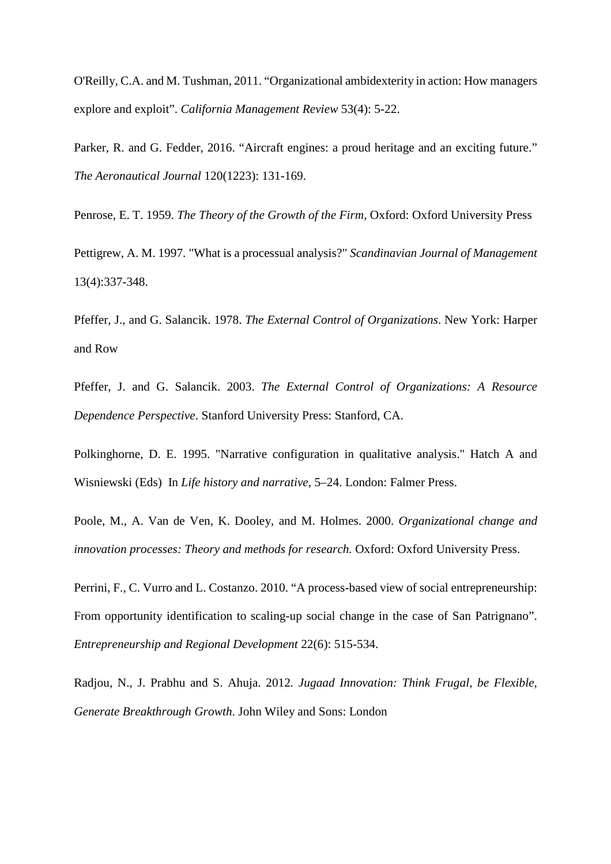O'Reilly, C.A. and M. Tushman, 2011. "Organizational ambidexterity in action: How managers explore and exploit". *California Management Review* 53(4): 5-22.

Parker, R. and G. Fedder, 2016. "Aircraft engines: a proud heritage and an exciting future." *The Aeronautical Journal* 120(1223): 131-169.

Penrose, E. T. 1959. *The Theory of the Growth of the Firm*, Oxford: Oxford University Press

Pettigrew, A. M. 1997. "What is a processual analysis?" *Scandinavian Journal of Management* 13(4):337-348.

Pfeffer, J., and G. Salancik. 1978. *The External Control of Organizations*. New York: Harper and Row

Pfeffer, J. and G. Salancik. 2003. *The External Control of Organizations: A Resource Dependence Perspective*. Stanford University Press: Stanford, CA.

Polkinghorne, D. E. 1995. "Narrative configuration in qualitative analysis." Hatch A and Wisniewski (Eds) In *Life history and narrative*, 5–24. London: Falmer Press.

Poole, M., A. Van de Ven, K. Dooley, and M. Holmes. 2000. *Organizational change and innovation processes: Theory and methods for research.* Oxford: Oxford University Press.

Perrini, F., C. Vurro and L. Costanzo. 2010. "A process-based view of social entrepreneurship: From opportunity identification to scaling-up social change in the case of San Patrignano". *Entrepreneurship and Regional Development* 22(6): 515-534.

Radjou, N., J. Prabhu and S. Ahuja. 2012*. Jugaad Innovation: Think Frugal, be Flexible, Generate Breakthrough Growth*. John Wiley and Sons: London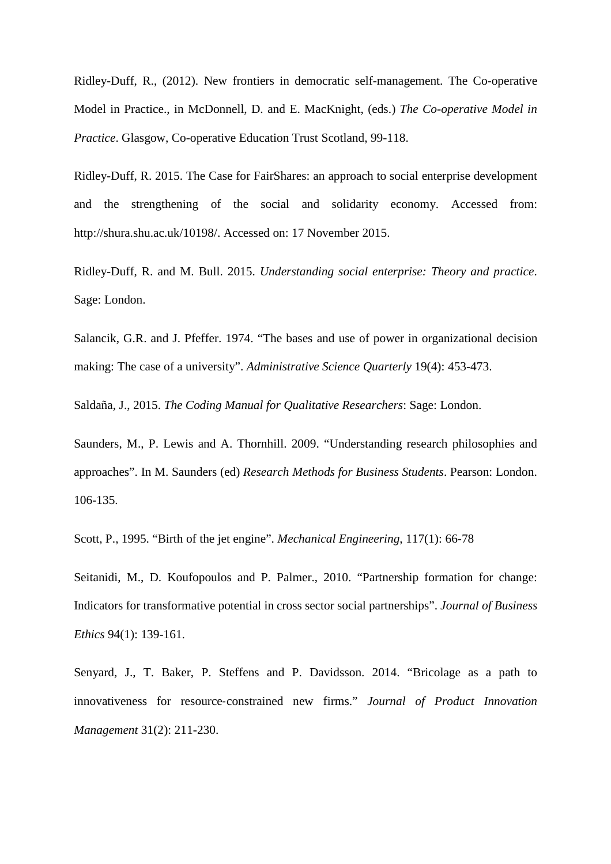Ridley-Duff, R., (2012). New frontiers in democratic self-management. The Co-operative Model in Practice., in McDonnell, D. and E. MacKnight, (eds.) *The Co-operative Model in Practice*. Glasgow, Co-operative Education Trust Scotland, 99-118.

Ridley-Duff, R. 2015. The Case for FairShares: an approach to social enterprise development and the strengthening of the social and solidarity economy. Accessed from: http://shura.shu.ac.uk/10198/. Accessed on: 17 November 2015.

Ridley-Duff, R. and M. Bull. 2015. *Understanding social enterprise: Theory and practice*. Sage: London.

Salancik, G.R. and J. Pfeffer. 1974. "The bases and use of power in organizational decision making: The case of a university". *Administrative Science Quarterly* 19(4): 453-473.

Saldaña, J., 2015. *The Coding Manual for Qualitative Researchers*: Sage: London.

Saunders, M., P. Lewis and A. Thornhill. 2009. "Understanding research philosophies and approaches". In M. Saunders (ed) *Research Methods for Business Students*. Pearson: London. 106-135.

Scott, P., 1995. "Birth of the jet engine". *Mechanical Engineering*, 117(1): 66-78

Seitanidi, M., D. Koufopoulos and P. Palmer., 2010. "Partnership formation for change: Indicators for transformative potential in cross sector social partnerships". *Journal of Business Ethics* 94(1): 139-161.

Senyard, J., T. Baker, P. Steffens and P. Davidsson. 2014. "Bricolage as a path to innovativeness for resource‐constrained new firms." *Journal of Product Innovation Management* 31(2): 211-230.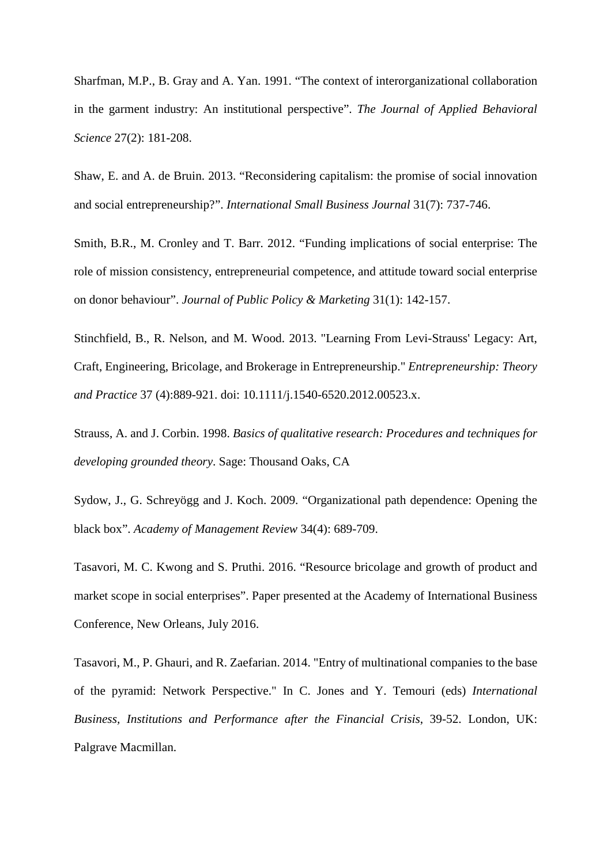Sharfman, M.P., B. Gray and A. Yan. 1991. "The context of interorganizational collaboration in the garment industry: An institutional perspective". *The Journal of Applied Behavioral Science* 27(2): 181-208.

Shaw, E. and A. de Bruin. 2013. "Reconsidering capitalism: the promise of social innovation and social entrepreneurship?". *International Small Business Journal* 31(7): 737-746.

Smith, B.R., M. Cronley and T. Barr. 2012. "Funding implications of social enterprise: The role of mission consistency, entrepreneurial competence, and attitude toward social enterprise on donor behaviour". *Journal of Public Policy & Marketing* 31(1): 142-157.

Stinchfield, B., R. Nelson, and M. Wood. 2013. "Learning From Levi-Strauss' Legacy: Art, Craft, Engineering, Bricolage, and Brokerage in Entrepreneurship." *Entrepreneurship: Theory and Practice* 37 (4):889-921. doi: 10.1111/j.1540-6520.2012.00523.x.

Strauss, A. and J. Corbin. 1998. *Basics of qualitative research: Procedures and techniques for developing grounded theory*. Sage: Thousand Oaks, CA

Sydow, J., G. Schreyögg and J. Koch. 2009. "Organizational path dependence: Opening the black box". *Academy of Management Review* 34(4): 689-709.

Tasavori, M. C. Kwong and S. Pruthi. 2016. "Resource bricolage and growth of product and market scope in social enterprises". Paper presented at the Academy of International Business Conference, New Orleans, July 2016.

Tasavori, M., P. Ghauri, and R. Zaefarian. 2014. "Entry of multinational companies to the base of the pyramid: Network Perspective." In C. Jones and Y. Temouri (eds) *International Business, Institutions and Performance after the Financial Crisis*, 39-52. London, UK: Palgrave Macmillan.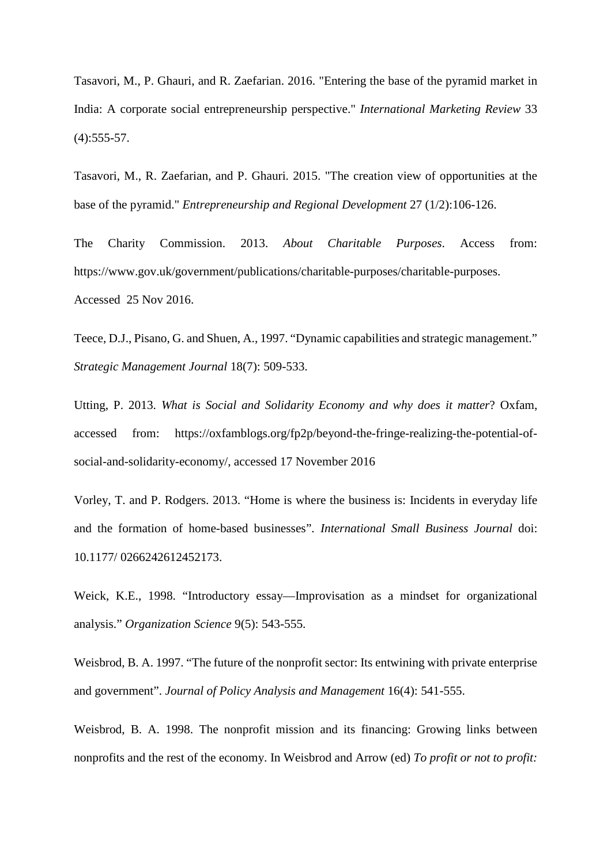Tasavori, M., P. Ghauri, and R. Zaefarian. 2016. "Entering the base of the pyramid market in India: A corporate social entrepreneurship perspective." *International Marketing Review* 33  $(4):$  555-57.

Tasavori, M., R. Zaefarian, and P. Ghauri. 2015. "The creation view of opportunities at the base of the pyramid." *Entrepreneurship and Regional Development* 27 (1/2):106-126.

The Charity Commission. 2013. *About Charitable Purposes*. Access from: https://www.gov.uk/government/publications/charitable-purposes/charitable-purposes. Accessed 25 Nov 2016.

Teece, D.J., Pisano, G. and Shuen, A., 1997. "Dynamic capabilities and strategic management." *Strategic Management Journal* 18(7): 509-533.

Utting, P. 2013. *What is Social and Solidarity Economy and why does it matter*? Oxfam, accessed from: https://oxfamblogs.org/fp2p/beyond-the-fringe-realizing-the-potential-ofsocial-and-solidarity-economy/, accessed 17 November 2016

Vorley, T. and P. Rodgers. 2013. "Home is where the business is: Incidents in everyday life and the formation of home-based businesses". *International Small Business Journal* doi: 10.1177/ 0266242612452173.

Weick, K.E., 1998. "Introductory essay—Improvisation as a mindset for organizational analysis." *Organization Science* 9(5): 543-555.

Weisbrod, B. A. 1997. "The future of the nonprofit sector: Its entwining with private enterprise and government". *Journal of Policy Analysis and Management* 16(4): 541-555.

Weisbrod, B. A. 1998. The nonprofit mission and its financing: Growing links between nonprofits and the rest of the economy. In Weisbrod and Arrow (ed) *To profit or not to profit:*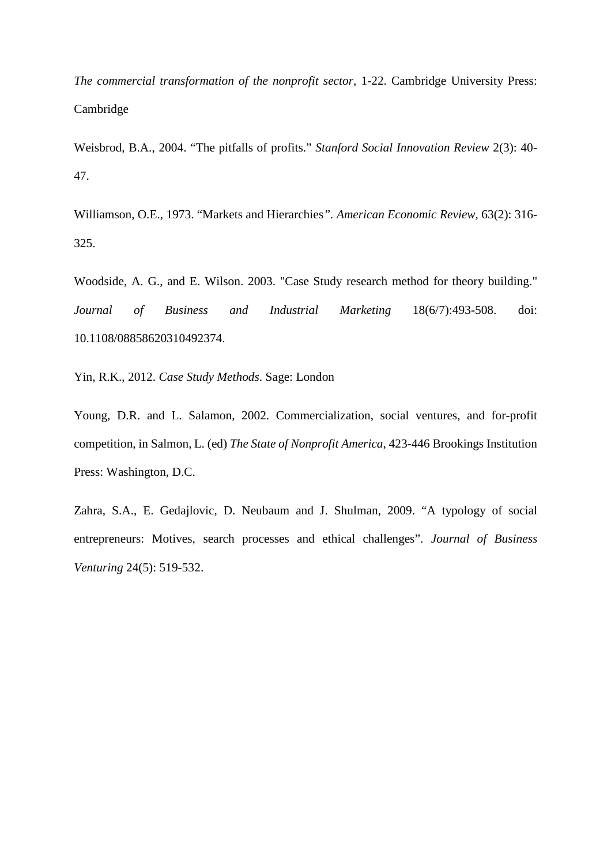*The commercial transformation of the nonprofit sector*, 1-22. Cambridge University Press: Cambridge

Weisbrod, B.A., 2004. "The pitfalls of profits." *Stanford Social Innovation Review* 2(3): 40- 47.

Williamson, O.E., 1973. "Markets and Hierarchies*". American Economic Review,* 63(2): 316- 325.

Woodside, A. G., and E. Wilson. 2003. "Case Study research method for theory building." *Journal of Business and Industrial Marketing* 18(6/7):493-508. doi: 10.1108/08858620310492374.

Yin, R.K., 2012. *Case Study Methods*. Sage: London

Young, D.R. and L. Salamon, 2002. Commercialization, social ventures, and for-profit competition, in Salmon, L. (ed) *The State of Nonprofit America*, 423-446 Brookings Institution Press: Washington, D.C.

Zahra, S.A., E. Gedajlovic, D. Neubaum and J. Shulman, 2009. "A typology of social entrepreneurs: Motives, search processes and ethical challenges". *Journal of Business Venturing* 24(5): 519-532.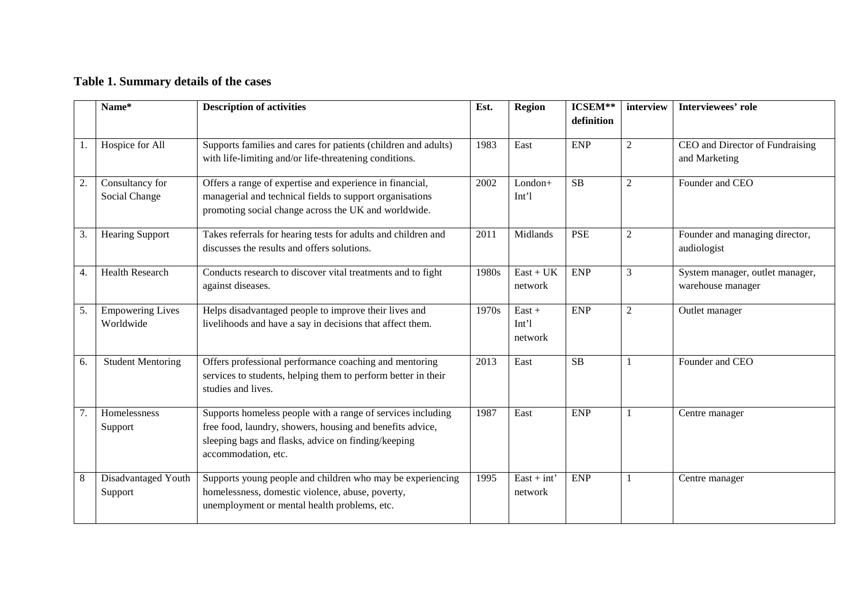# **Table 1. Summary details of the cases**

|    | Name*                    | <b>Description of activities</b>                                                                                 | Est.  | <b>Region</b>               | ICSEM**<br>definition | interview      | <b>Interviewees' role</b>       |
|----|--------------------------|------------------------------------------------------------------------------------------------------------------|-------|-----------------------------|-----------------------|----------------|---------------------------------|
|    |                          |                                                                                                                  |       |                             |                       |                |                                 |
|    | Hospice for All          | Supports families and cares for patients (children and adults)                                                   | 1983  | East                        | <b>ENP</b>            | $\overline{2}$ | CEO and Director of Fundraising |
|    |                          | with life-limiting and/or life-threatening conditions.                                                           |       |                             |                       |                | and Marketing                   |
| 2. | Consultancy for          | Offers a range of expertise and experience in financial,                                                         | 2002  | $London+$                   | SB                    | $\overline{2}$ | Founder and CEO                 |
|    | Social Change            | managerial and technical fields to support organisations<br>promoting social change across the UK and worldwide. |       | Int <sup>1</sup>            |                       |                |                                 |
| 3. | <b>Hearing Support</b>   | Takes referrals for hearing tests for adults and children and                                                    | 2011  | Midlands                    | <b>PSE</b>            | $\overline{2}$ | Founder and managing director,  |
|    |                          | discusses the results and offers solutions.                                                                      |       |                             |                       |                | audiologist                     |
| 4. | <b>Health Research</b>   | Conducts research to discover vital treatments and to fight                                                      | 1980s | $East + UK$                 | <b>ENP</b>            | 3              | System manager, outlet manager, |
|    |                          | against diseases.                                                                                                |       | network                     |                       |                | warehouse manager               |
| 5. | <b>Empowering Lives</b>  | Helps disadvantaged people to improve their lives and                                                            | 1970s | $East +$                    | <b>ENP</b>            | $\overline{2}$ | Outlet manager                  |
|    | Worldwide                | livelihoods and have a say in decisions that affect them.                                                        |       | Int <sup>1</sup><br>network |                       |                |                                 |
| 6. | <b>Student Mentoring</b> | Offers professional performance coaching and mentoring                                                           | 2013  | East                        | SB                    |                | Founder and CEO                 |
|    |                          | services to students, helping them to perform better in their<br>studies and lives.                              |       |                             |                       |                |                                 |
| 7. | Homelessness             | Supports homeless people with a range of services including                                                      | 1987  | East                        | <b>ENP</b>            |                | Centre manager                  |
|    | Support                  | free food, laundry, showers, housing and benefits advice,                                                        |       |                             |                       |                |                                 |
|    |                          | sleeping bags and flasks, advice on finding/keeping<br>accommodation, etc.                                       |       |                             |                       |                |                                 |
| 8  | Disadvantaged Youth      | Supports young people and children who may be experiencing                                                       | 1995  | $East + int'$               | <b>ENP</b>            | 1              | Centre manager                  |
|    | Support                  | homelessness, domestic violence, abuse, poverty,                                                                 |       | network                     |                       |                |                                 |
|    |                          | unemployment or mental health problems, etc.                                                                     |       |                             |                       |                |                                 |
|    |                          |                                                                                                                  |       |                             |                       |                |                                 |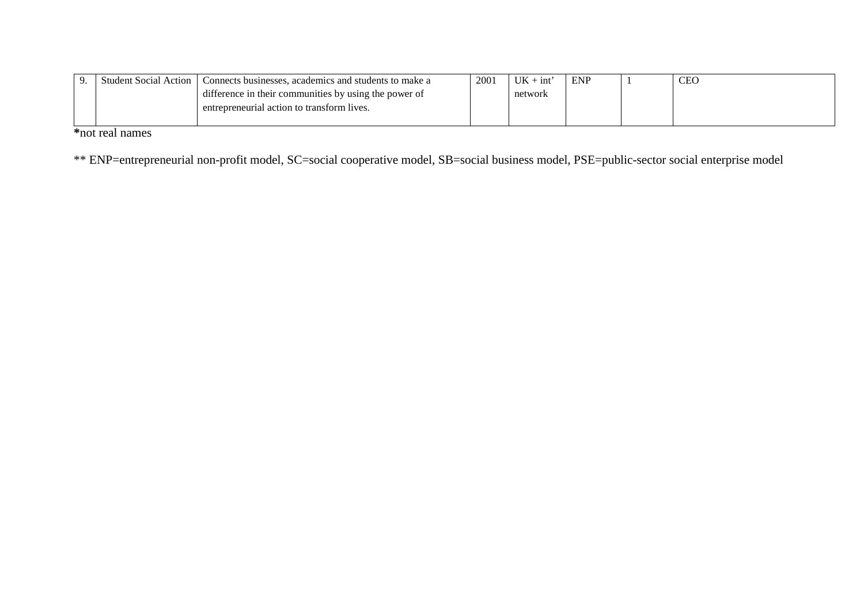| -9 | Student Social A<br>l Action | Connects businesses, academics and students to make a |  | <b>UK</b><br>· int | <b>ENP</b> | <b>CEO</b> |
|----|------------------------------|-------------------------------------------------------|--|--------------------|------------|------------|
|    |                              | difference in their communities by using the power of |  | network            |            |            |
|    |                              | entrepreneurial action to transform lives.            |  |                    |            |            |
|    |                              |                                                       |  |                    |            |            |

**\***not real names

\*\* ENP=entrepreneurial non-profit model, SC=social cooperative model, SB=social business model, PSE=public-sector social enterprise model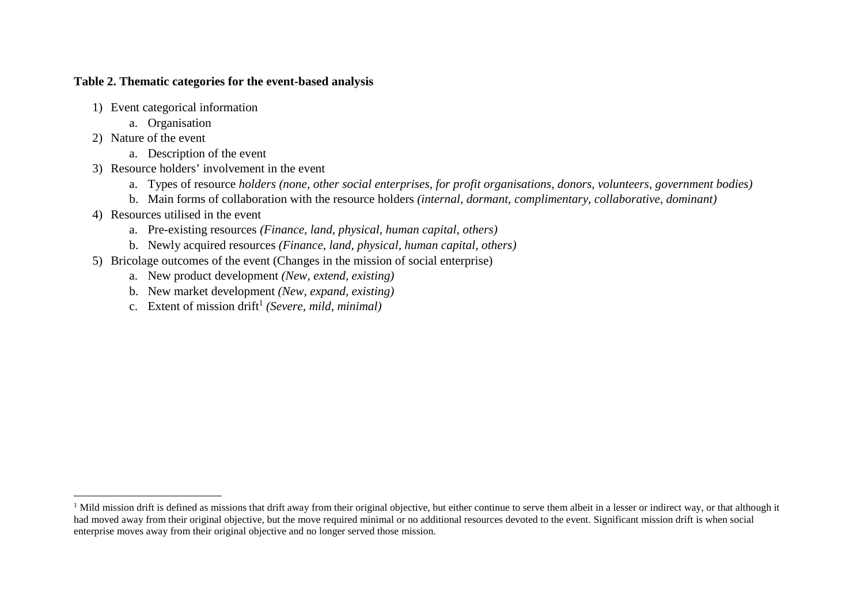## **Table 2. Thematic categories for the event-based analysis**

- 1) Event categorical information
	- a. Organisation
- 2) Nature of the event
	- a. Description of the event
- 3) Resource holders' involvement in the event
	- a. Types of resource *holders (none, other social enterprises, for profit organisations, donors, volunteers, government bodies)*
	- b. Main forms of collaboration with the resource holders *(internal, dormant, complimentary, collaborative, dominant)*
- 4) Resources utilised in the event
	- a. Pre-existing resources *(Finance, land, physical, human capital, others)*
	- b. Newly acquired resources *(Finance, land, physical, human capital, others)*
- 5) Bricolage outcomes of the event (Changes in the mission of social enterprise)
	- a. New product development *(New, extend, existing)*
	- b. New market development *(New, expand, existing)*
	- c. Extent of mission drift1 *(Severe, mild, minimal)*

<sup>&</sup>lt;sup>1</sup> Mild mission drift is defined as missions that drift away from their original objective, but either continue to serve them albeit in a lesser or indirect way, or that although it had moved away from their original objective, but the move required minimal or no additional resources devoted to the event. Significant mission drift is when social enterprise moves away from their original objective and no longer served those mission.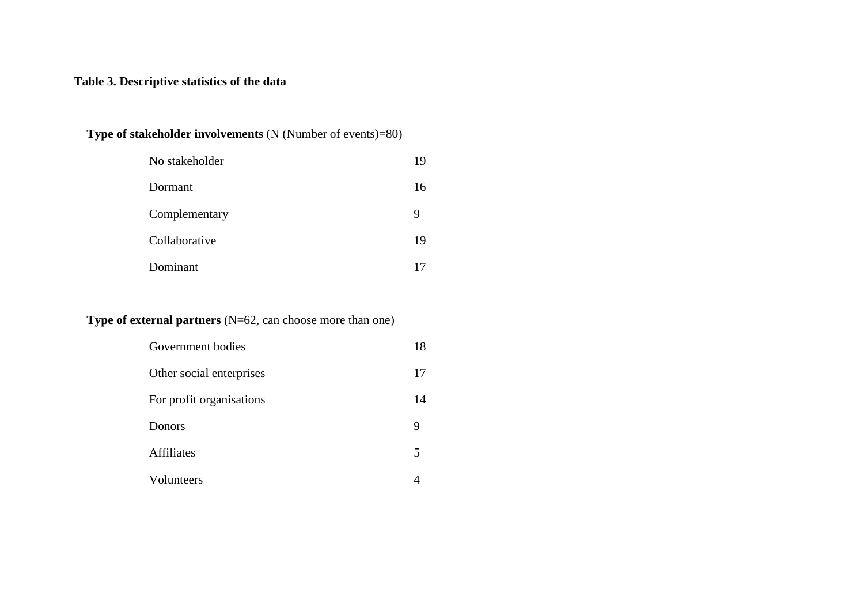# **Table 3. Descriptive statistics of the data**

## **Type of stakeholder involvements** (N (Number of events)=80)

| No stakeholder | 19 |
|----------------|----|
| Dormant        | 16 |
| Complementary  | 9  |
| Collaborative  | 19 |
| Dominant       |    |

## **Type of external partners** (N=62, can choose more than one)

| Government bodies        | 18 |
|--------------------------|----|
| Other social enterprises | 17 |
| For profit organisations | 14 |
| Donors                   | 9  |
| <b>Affiliates</b>        | 5  |
| Volunteers               |    |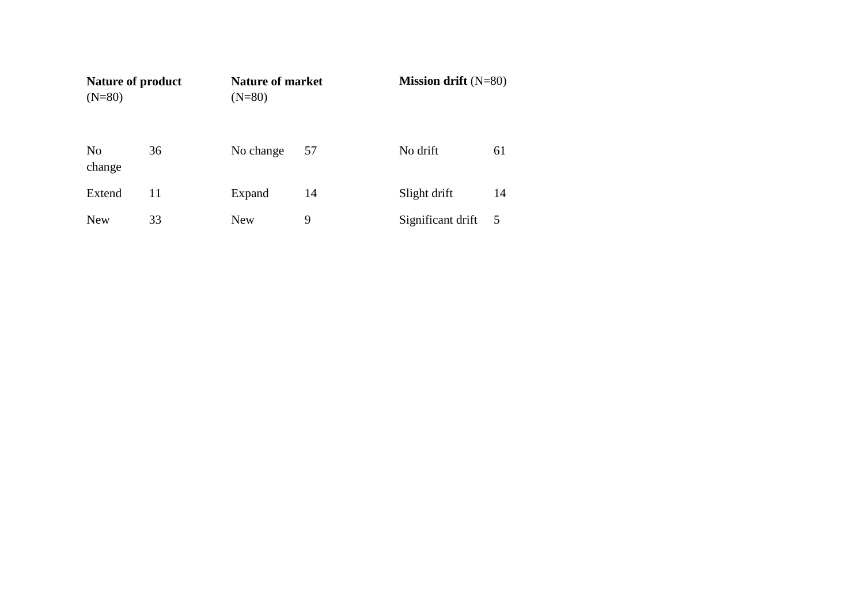| <b>Nature of product</b><br>$(N=80)$ |    | <b>Nature of market</b><br>$(N=80)$ |    |                   | Mission drift $(N=80)$ |  |  |
|--------------------------------------|----|-------------------------------------|----|-------------------|------------------------|--|--|
| N <sub>0</sub><br>change             | 36 | No change                           | 57 | No drift          | 61                     |  |  |
| Extend                               | 11 | Expand                              | 14 | Slight drift      | 14                     |  |  |
| <b>New</b>                           | 33 | <b>New</b>                          | 9  | Significant drift | 5                      |  |  |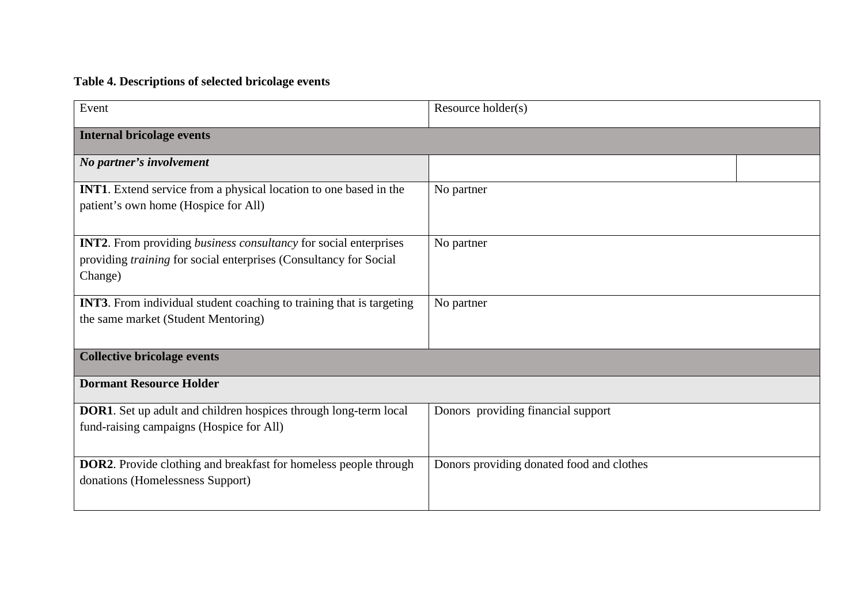# **Table 4. Descriptions of selected bricolage events**

| Event                                                                                                                                                          | Resource holder(s)                        |  |
|----------------------------------------------------------------------------------------------------------------------------------------------------------------|-------------------------------------------|--|
| <b>Internal bricolage events</b>                                                                                                                               |                                           |  |
| No partner's involvement                                                                                                                                       |                                           |  |
| <b>INT1.</b> Extend service from a physical location to one based in the<br>patient's own home (Hospice for All)                                               | No partner                                |  |
| <b>INT2.</b> From providing <i>business consultancy</i> for social enterprises<br>providing training for social enterprises (Consultancy for Social<br>Change) | No partner                                |  |
| <b>INT3.</b> From individual student coaching to training that is targeting<br>the same market (Student Mentoring)                                             | No partner                                |  |
| <b>Collective bricolage events</b>                                                                                                                             |                                           |  |
| <b>Dormant Resource Holder</b>                                                                                                                                 |                                           |  |
| <b>DOR1</b> . Set up adult and children hospices through long-term local<br>fund-raising campaigns (Hospice for All)                                           | Donors providing financial support        |  |
| <b>DOR2</b> . Provide clothing and breakfast for homeless people through<br>donations (Homelessness Support)                                                   | Donors providing donated food and clothes |  |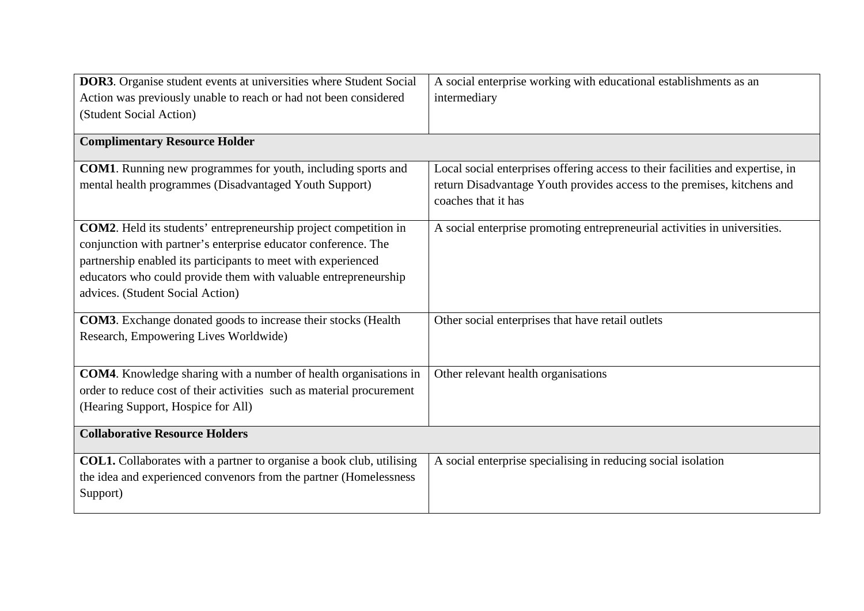| <b>DOR3</b> . Organise student events at universities where Student Social | A social enterprise working with educational establishments as an              |
|----------------------------------------------------------------------------|--------------------------------------------------------------------------------|
| Action was previously unable to reach or had not been considered           | intermediary                                                                   |
| (Student Social Action)                                                    |                                                                                |
|                                                                            |                                                                                |
| <b>Complimentary Resource Holder</b>                                       |                                                                                |
| <b>COM1</b> . Running new programmes for youth, including sports and       | Local social enterprises offering access to their facilities and expertise, in |
| mental health programmes (Disadvantaged Youth Support)                     | return Disadvantage Youth provides access to the premises, kitchens and        |
|                                                                            | coaches that it has                                                            |
|                                                                            |                                                                                |
| <b>COM2</b> . Held its students' entrepreneurship project competition in   | A social enterprise promoting entrepreneurial activities in universities.      |
| conjunction with partner's enterprise educator conference. The             |                                                                                |
| partnership enabled its participants to meet with experienced              |                                                                                |
| educators who could provide them with valuable entrepreneurship            |                                                                                |
| advices. (Student Social Action)                                           |                                                                                |
|                                                                            |                                                                                |
| <b>COM3</b> . Exchange donated goods to increase their stocks (Health      | Other social enterprises that have retail outlets                              |
| Research, Empowering Lives Worldwide)                                      |                                                                                |
|                                                                            |                                                                                |
| <b>COM4</b> . Knowledge sharing with a number of health organisations in   | Other relevant health organisations                                            |
| order to reduce cost of their activities such as material procurement      |                                                                                |
| (Hearing Support, Hospice for All)                                         |                                                                                |
|                                                                            |                                                                                |
| <b>Collaborative Resource Holders</b>                                      |                                                                                |
| COL1. Collaborates with a partner to organise a book club, utilising       | A social enterprise specialising in reducing social isolation                  |
| the idea and experienced convenors from the partner (Homelessness          |                                                                                |
| Support)                                                                   |                                                                                |
|                                                                            |                                                                                |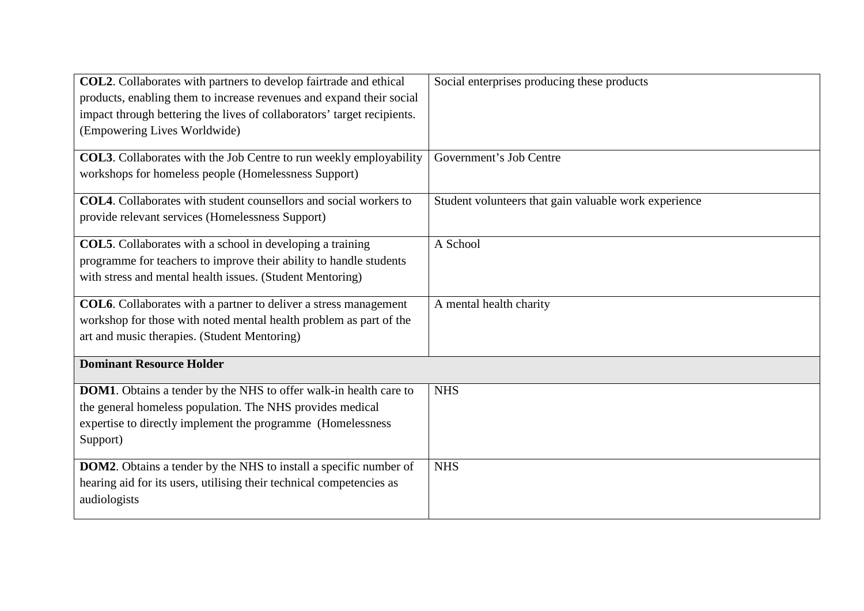| COL2. Collaborates with partners to develop fairtrade and ethical<br>products, enabling them to increase revenues and expand their social<br>impact through bettering the lives of collaborators' target recipients.<br>(Empowering Lives Worldwide) | Social enterprises producing these products           |
|------------------------------------------------------------------------------------------------------------------------------------------------------------------------------------------------------------------------------------------------------|-------------------------------------------------------|
| <b>COL3</b> . Collaborates with the Job Centre to run weekly employability<br>workshops for homeless people (Homelessness Support)                                                                                                                   | Government's Job Centre                               |
| <b>COL4</b> . Collaborates with student counsellors and social workers to<br>provide relevant services (Homelessness Support)                                                                                                                        | Student volunteers that gain valuable work experience |
| <b>COL5</b> . Collaborates with a school in developing a training<br>programme for teachers to improve their ability to handle students<br>with stress and mental health issues. (Student Mentoring)                                                 | A School                                              |
| <b>COL6</b> . Collaborates with a partner to deliver a stress management<br>workshop for those with noted mental health problem as part of the<br>art and music therapies. (Student Mentoring)                                                       | A mental health charity                               |
| <b>Dominant Resource Holder</b>                                                                                                                                                                                                                      |                                                       |
| DOM1. Obtains a tender by the NHS to offer walk-in health care to<br>the general homeless population. The NHS provides medical<br>expertise to directly implement the programme (Homelessness<br>Support)                                            | <b>NHS</b>                                            |
| <b>DOM2</b> . Obtains a tender by the NHS to install a specific number of<br>hearing aid for its users, utilising their technical competencies as<br>audiologists                                                                                    | <b>NHS</b>                                            |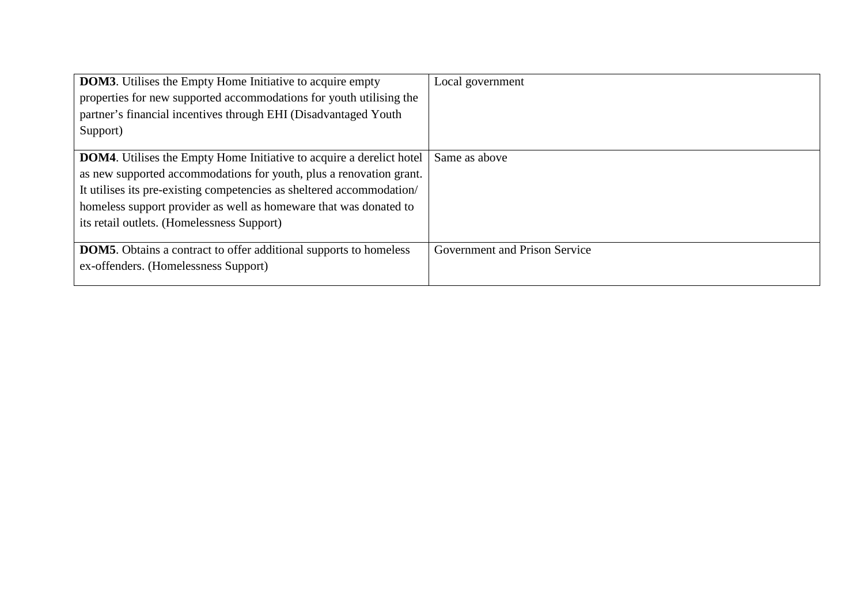| <b>DOM3</b> . Utilises the Empty Home Initiative to acquire empty           | Local government              |
|-----------------------------------------------------------------------------|-------------------------------|
| properties for new supported accommodations for youth utilising the         |                               |
| partner's financial incentives through EHI (Disadvantaged Youth             |                               |
| Support)                                                                    |                               |
|                                                                             |                               |
| <b>DOM4.</b> Utilises the Empty Home Initiative to acquire a derelict hotel | Same as above                 |
| as new supported accommodations for youth, plus a renovation grant.         |                               |
| It utilises its pre-existing competencies as sheltered accommodation/       |                               |
| homeless support provider as well as homeware that was donated to           |                               |
| its retail outlets. (Homelessness Support)                                  |                               |
|                                                                             |                               |
| <b>DOM5.</b> Obtains a contract to offer additional supports to homeless    | Government and Prison Service |
| ex-offenders. (Homelessness Support)                                        |                               |
|                                                                             |                               |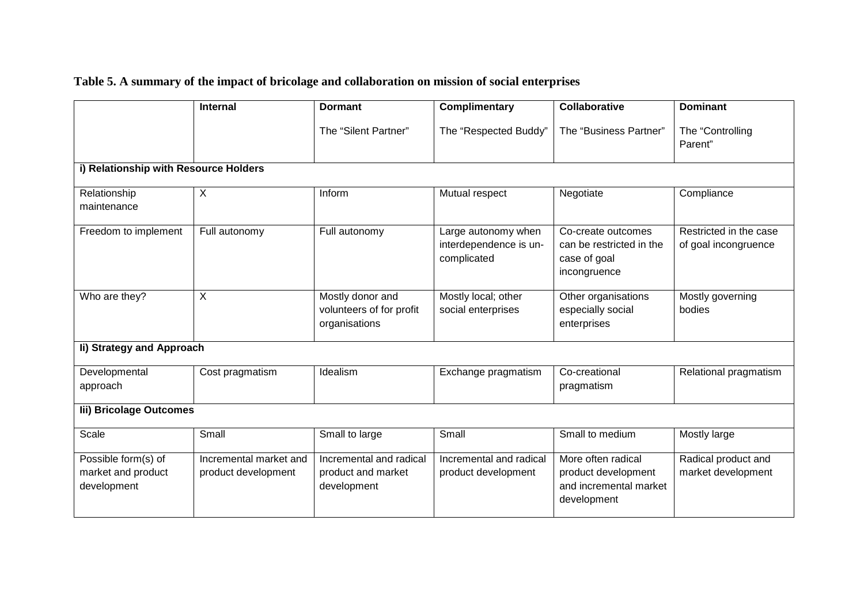# **Table 5. A summary of the impact of bricolage and collaboration on mission of social enterprises**

|                                                          | <b>Internal</b>                               | <b>Dormant</b>                                                | <b>Complimentary</b>                                         | <b>Collaborative</b>                                                               | <b>Dominant</b>                                |  |  |  |
|----------------------------------------------------------|-----------------------------------------------|---------------------------------------------------------------|--------------------------------------------------------------|------------------------------------------------------------------------------------|------------------------------------------------|--|--|--|
|                                                          |                                               | The "Silent Partner"                                          | The "Respected Buddy"                                        | The "Business Partner"                                                             | The "Controlling<br>Parent"                    |  |  |  |
| i) Relationship with Resource Holders                    |                                               |                                                               |                                                              |                                                                                    |                                                |  |  |  |
| Relationship<br>maintenance                              | $\times$                                      | Inform                                                        | Mutual respect                                               | Negotiate                                                                          | Compliance                                     |  |  |  |
| Freedom to implement                                     | Full autonomy                                 | Full autonomy                                                 | Large autonomy when<br>interdependence is un-<br>complicated | Co-create outcomes<br>can be restricted in the<br>case of goal<br>incongruence     | Restricted in the case<br>of goal incongruence |  |  |  |
| Who are they?                                            | $\boldsymbol{\mathsf{X}}$                     | Mostly donor and<br>volunteers of for profit<br>organisations | Mostly local; other<br>social enterprises                    | Other organisations<br>especially social<br>enterprises                            | Mostly governing<br>bodies                     |  |  |  |
| li) Strategy and Approach                                |                                               |                                                               |                                                              |                                                                                    |                                                |  |  |  |
| Developmental<br>approach                                | Cost pragmatism                               | Idealism                                                      | Exchange pragmatism                                          | Co-creational<br>pragmatism                                                        | Relational pragmatism                          |  |  |  |
| lii) Bricolage Outcomes                                  |                                               |                                                               |                                                              |                                                                                    |                                                |  |  |  |
| Scale                                                    | Small                                         | Small to large                                                | Small                                                        | Small to medium                                                                    | Mostly large                                   |  |  |  |
| Possible form(s) of<br>market and product<br>development | Incremental market and<br>product development | Incremental and radical<br>product and market<br>development  | Incremental and radical<br>product development               | More often radical<br>product development<br>and incremental market<br>development | Radical product and<br>market development      |  |  |  |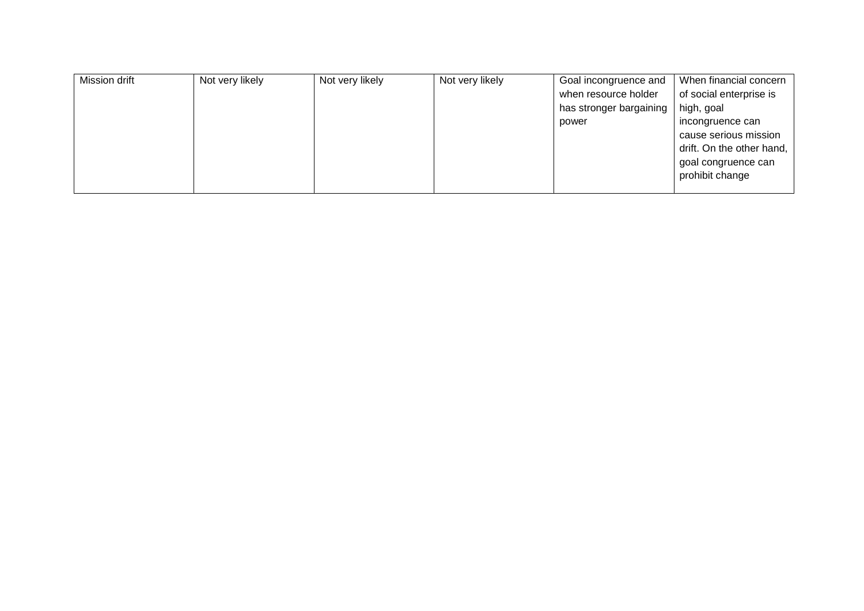| Mission drift | Not very likely | Not very likely | Not very likely | Goal incongruence and   | When financial concern    |
|---------------|-----------------|-----------------|-----------------|-------------------------|---------------------------|
|               |                 |                 |                 | when resource holder    | of social enterprise is   |
|               |                 |                 |                 | has stronger bargaining | high, goal                |
|               |                 |                 |                 | power                   | incongruence can          |
|               |                 |                 |                 |                         | cause serious mission     |
|               |                 |                 |                 |                         | drift. On the other hand, |
|               |                 |                 |                 |                         | goal congruence can       |
|               |                 |                 |                 |                         | prohibit change           |
|               |                 |                 |                 |                         |                           |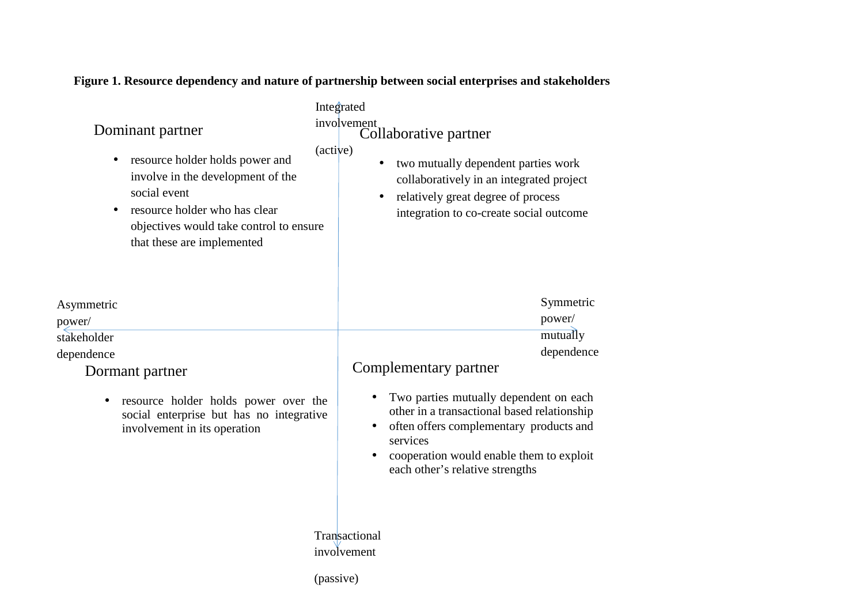## Symmetric power/ mutually dependence Asymmetric power/ stakeholder dependence Integrated involvement Collaborative partner (active) **Transactional** involvement Complementary partner • Two parties mutually dependent on each other in a transactional based relationship • often offers complementary products and services • cooperation would enable them to exploit each other's relative strengths • two mutually dependent parties work collaboratively in an integrated project • relatively great degree of process integration to co-create social outcome Dominant partner • resource holder holds power and involve in the development of the social event • resource holder who has clear objectives would take control to ensure that these are implemented Dormant partner • resource holder holds power over the social enterprise but has no integrative involvement in its operation

**Figure 1. Resource dependency and nature of partnership between social enterprises and stakeholders** 

(passive)